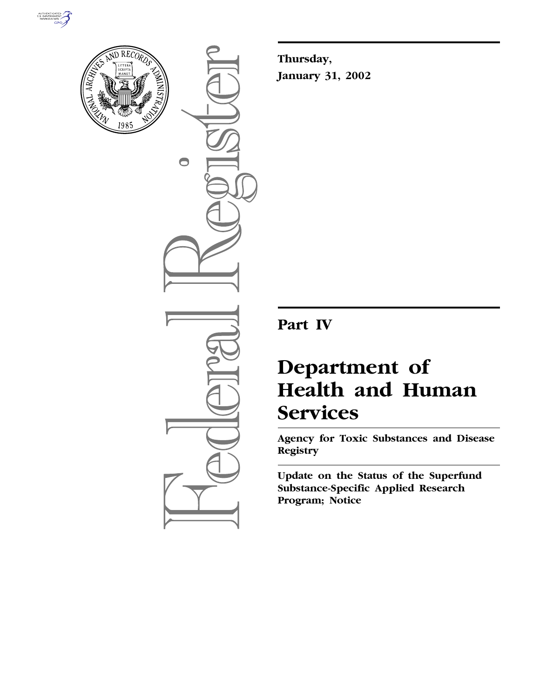



 $\bigcirc$ 

**Thursday, January 31, 2002**

**Part IV**

# **Department of Health and Human Services**

**Agency for Toxic Substances and Disease Registry**

**Update on the Status of the Superfund Substance-Specific Applied Research Program; Notice**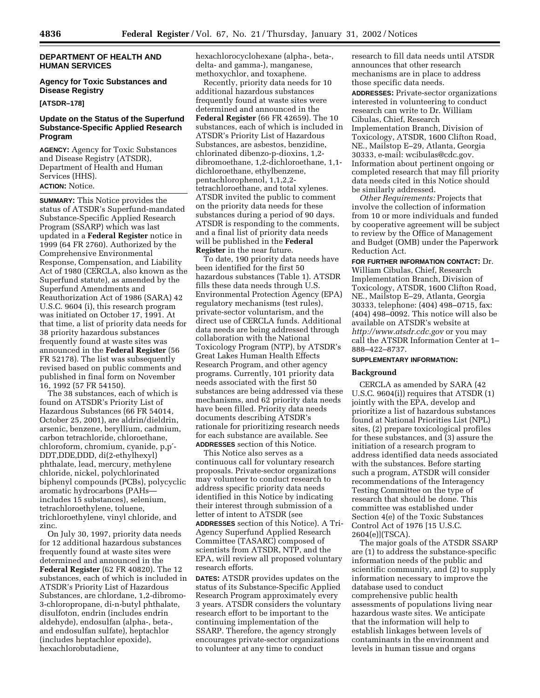#### **DEPARTMENT OF HEALTH AND HUMAN SERVICES**

## **Agency for Toxic Substances and Disease Registry**

**[ATSDR–178]**

#### **Update on the Status of the Superfund Substance-Specific Applied Research Program**

**AGENCY:** Agency for Toxic Substances and Disease Registry (ATSDR), Department of Health and Human Services (HHS). **ACTION:** Notice.

**SUMMARY:** This Notice provides the status of ATSDR's Superfund-mandated Substance-Specific Applied Research Program (SSARP) which was last updated in a **Federal Register** notice in 1999 (64 FR 2760). Authorized by the Comprehensive Environmental Response, Compensation, and Liability Act of 1980 (CERCLA, also known as the Superfund statute), as amended by the Superfund Amendments and Reauthorization Act of 1986 (SARA) 42 U.S.C. 9604 (i), this research program was initiated on October 17, 1991. At that time, a list of priority data needs for 38 priority hazardous substances frequently found at waste sites was announced in the **Federal Register** (56 FR 52178). The list was subsequently revised based on public comments and published in final form on November 16, 1992 (57 FR 54150).

The 38 substances, each of which is found on ATSDR's Priority List of Hazardous Substances (66 FR 54014, October 25, 2001), are aldrin/dieldrin, arsenic, benzene, beryllium, cadmium, carbon tetrachloride, chloroethane, chloroform, chromium, cyanide, p,p′- DDT,DDE,DDD, di(2-ethylhexyl) phthalate, lead, mercury, methylene chloride, nickel, polychlorinated biphenyl compounds (PCBs), polycyclic aromatic hydrocarbons (PAHs includes 15 substances), selenium, tetrachloroethylene, toluene, trichloroethylene, vinyl chloride, and zinc.

On July 30, 1997, priority data needs for 12 additional hazardous substances frequently found at waste sites were determined and announced in the **Federal Register** (62 FR 40820). The 12 substances, each of which is included in ATSDR's Priority List of Hazardous Substances, are chlordane, 1,2-dibromo-3-chloropropane, di-n-butyl phthalate, disulfoton, endrin (includes endrin aldehyde), endosulfan (alpha-, beta-, and endosulfan sulfate), heptachlor (includes heptachlor epoxide), hexachlorobutadiene,

hexachlorocyclohexane (alpha-, beta-, delta- and gamma-), manganese, methoxychlor, and toxaphene.

Recently, priority data needs for 10 additional hazardous substances frequently found at waste sites were determined and announced in the **Federal Register** (66 FR 42659). The 10 substances, each of which is included in ATSDR's Priority List of Hazardous Substances, are asbestos, benzidine, chlorinated dibenzo-p-dioxins, 1,2 dibromoethane, 1,2-dichloroethane, 1,1 dichloroethane, ethylbenzene, pentachlorophenol, 1,1,2,2 tetrachloroethane, and total xylenes. ATSDR invited the public to comment on the priority data needs for these substances during a period of 90 days. ATSDR is responding to the comments, and a final list of priority data needs will be published in the **Federal Register** in the near future.

To date, 190 priority data needs have been identified for the first 50 hazardous substances (Table 1). ATSDR fills these data needs through U.S. Environmental Protection Agency (EPA) regulatory mechanisms (test rules), private-sector voluntarism, and the direct use of CERCLA funds. Additional data needs are being addressed through collaboration with the National Toxicology Program (NTP), by ATSDR's Great Lakes Human Health Effects Research Program, and other agency programs. Currently, 101 priority data needs associated with the first 50 substances are being addressed via these mechanisms, and 62 priority data needs have been filled. Priority data needs documents describing ATSDR's rationale for prioritizing research needs for each substance are available. See **ADDRESSES** section of this Notice.

This Notice also serves as a continuous call for voluntary research proposals. Private-sector organizations may volunteer to conduct research to address specific priority data needs identified in this Notice by indicating their interest through submission of a letter of intent to ATSDR (see **ADDRESSES** section of this Notice). A Tri-Agency Superfund Applied Research Committee (TASARC) composed of scientists from ATSDR, NTP, and the EPA, will review all proposed voluntary research efforts.

**DATES:** ATSDR provides updates on the status of its Substance-Specific Applied Research Program approximately every 3 years. ATSDR considers the voluntary research effort to be important to the continuing implementation of the SSARP. Therefore, the agency strongly encourages private-sector organizations to volunteer at any time to conduct

research to fill data needs until ATSDR announces that other research mechanisms are in place to address those specific data needs.

**ADDRESSES:** Private-sector organizations interested in volunteering to conduct research can write to Dr. William Cibulas, Chief, Research Implementation Branch, Division of Toxicology, ATSDR, 1600 Clifton Road, NE., Mailstop E–29, Atlanta, Georgia 30333, e-mail: wcibulas@cdc.gov. Information about pertinent ongoing or completed research that may fill priority data needs cited in this Notice should be similarly addressed.

*Other Requirements:* Projects that involve the collection of information from 10 or more individuals and funded by cooperative agreement will be subject to review by the Office of Management and Budget (OMB) under the Paperwork Reduction Act.

**FOR FURTHER INFORMATION CONTACT:** Dr. William Cibulas, Chief, Research Implementation Branch, Division of Toxicology, ATSDR, 1600 Clifton Road, NE., Mailstop E–29, Atlanta, Georgia 30333, telephone: (404) 498–0715, fax:  $(404)$  498–0092. This notice will also be available on ATSDR's website at *http://www.atsdr.cdc.gov* or you may call the ATSDR Information Center at 1– 888–422–8737.

## **SUPPLEMENTARY INFORMATION:**

#### **Background**

CERCLA as amended by SARA (42 U.S.C. 9604(i)) requires that ATSDR (1) jointly with the EPA, develop and prioritize a list of hazardous substances found at National Priorities List (NPL) sites, (2) prepare toxicological profiles for these substances, and (3) assure the initiation of a research program to address identified data needs associated with the substances. Before starting such a program, ATSDR will consider recommendations of the Interagency Testing Committee on the type of research that should be done. This committee was established under Section 4(e) of the Toxic Substances Control Act of 1976 [15 U.S.C. 2604(e)](TSCA).

The major goals of the ATSDR SSARP are (1) to address the substance-specific information needs of the public and scientific community, and (2) to supply information necessary to improve the database used to conduct comprehensive public health assessments of populations living near hazardous waste sites. We anticipate that the information will help to establish linkages between levels of contaminants in the environment and levels in human tissue and organs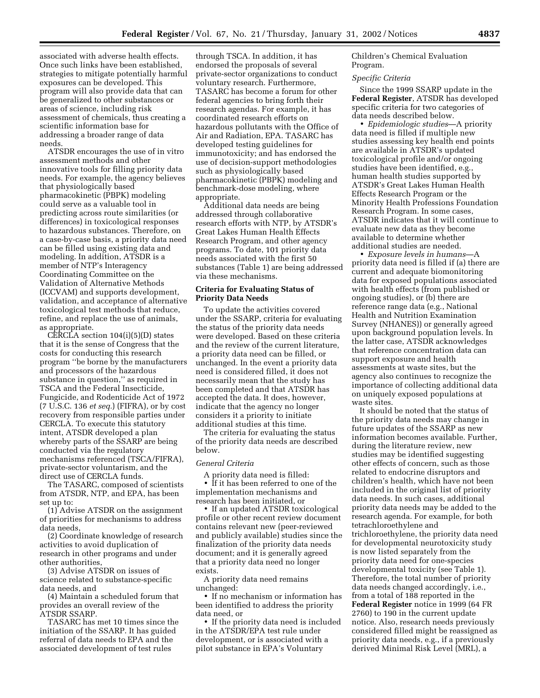associated with adverse health effects. Once such links have been established, strategies to mitigate potentially harmful exposures can be developed. This program will also provide data that can be generalized to other substances or areas of science, including risk assessment of chemicals, thus creating a scientific information base for addressing a broader range of data needs.

ATSDR encourages the use of in vitro assessment methods and other innovative tools for filling priority data needs. For example, the agency believes that physiologically based pharmacokinetic (PBPK) modeling could serve as a valuable tool in predicting across route similarities (or differences) in toxicological responses to hazardous substances. Therefore, on a case-by-case basis, a priority data need can be filled using existing data and modeling. In addition, ATSDR is a member of NTP's Interagency Coordinating Committee on the Validation of Alternative Methods (ICCVAM) and supports development, validation, and acceptance of alternative toxicological test methods that reduce, refine, and replace the use of animals, as appropriate.

CERCLA section  $104(i)(5)(D)$  states that it is the sense of Congress that the costs for conducting this research program ''be borne by the manufacturers and processors of the hazardous substance in question,'' as required in TSCA and the Federal Insecticide, Fungicide, and Rodenticide Act of 1972 (7 U.S.C. 136 *et seq.*) (FIFRA), or by cost recovery from responsible parties under CERCLA. To execute this statutory intent, ATSDR developed a plan whereby parts of the SSARP are being conducted via the regulatory mechanisms referenced (TSCA/FIFRA), private-sector voluntarism, and the direct use of CERCLA funds.

The TASARC, composed of scientists from ATSDR, NTP, and EPA, has been set up to:

(1) Advise ATSDR on the assignment of priorities for mechanisms to address data needs,

(2) Coordinate knowledge of research activities to avoid duplication of research in other programs and under other authorities,

(3) Advise ATSDR on issues of science related to substance-specific data needs, and

(4) Maintain a scheduled forum that provides an overall review of the ATSDR SSARP.

TASARC has met 10 times since the initiation of the SSARP. It has guided referral of data needs to EPA and the associated development of test rules

through TSCA. In addition, it has endorsed the proposals of several private-sector organizations to conduct voluntary research. Furthermore, TASARC has become a forum for other federal agencies to bring forth their research agendas. For example, it has coordinated research efforts on hazardous pollutants with the Office of Air and Radiation, EPA. TASARC has developed testing guidelines for immunotoxicity; and has endorsed the use of decision-support methodologies such as physiologically based pharmacokinetic (PBPK) modeling and benchmark-dose modeling, where appropriate.

Additional data needs are being addressed through collaborative research efforts with NTP, by ATSDR's Great Lakes Human Health Effects Research Program, and other agency programs. To date, 101 priority data needs associated with the first 50 substances (Table 1) are being addressed via these mechanisms.

#### **Criteria for Evaluating Status of Priority Data Needs**

To update the activities covered under the SSARP, criteria for evaluating the status of the priority data needs were developed. Based on these criteria and the review of the current literature, a priority data need can be filled, or unchanged. In the event a priority data need is considered filled, it does not necessarily mean that the study has been completed and that ATSDR has accepted the data. It does, however, indicate that the agency no longer considers it a priority to initiate additional studies at this time.

The criteria for evaluating the status of the priority data needs are described below.

#### *General Criteria*

A priority data need is filled: • If it has been referred to one of the implementation mechanisms and research has been initiated, or

• If an updated ATSDR toxicological profile or other recent review document contains relevant new (peer-reviewed and publicly available) studies since the finalization of the priority data needs document; and it is generally agreed that a priority data need no longer exists.

A priority data need remains unchanged:

• If no mechanism or information has been identified to address the priority data need, or

• If the priority data need is included in the ATSDR/EPA test rule under development, or is associated with a pilot substance in EPA's Voluntary

Children's Chemical Evaluation Program.

#### *Specific Criteria*

Since the 1999 SSARP update in the **Federal Register**, ATSDR has developed specific criteria for two categories of data needs described below.

• *Epidemiologic studies*—A priority data need is filled if multiple new studies assessing key health end points are available in ATSDR's updated toxicological profile and/or ongoing studies have been identified, e.g., human health studies supported by ATSDR's Great Lakes Human Health Effects Research Program or the Minority Health Professions Foundation Research Program. In some cases, ATSDR indicates that it will continue to evaluate new data as they become available to determine whether additional studies are needed.

• *Exposure levels in humans*—A priority data need is filled if (a) there are current and adequate biomonitoring data for exposed populations associated with health effects (from published or ongoing studies), or (b) there are reference range data (e.g., National Health and Nutrition Examination Survey (NHANES)) or generally agreed upon background population levels. In the latter case, ATSDR acknowledges that reference concentration data can support exposure and health assessments at waste sites, but the agency also continues to recognize the importance of collecting additional data on uniquely exposed populations at waste sites.

It should be noted that the status of the priority data needs may change in future updates of the SSARP as new information becomes available. Further, during the literature review, new studies may be identified suggesting other effects of concern, such as those related to endocrine disruptors and children's health, which have not been included in the original list of priority data needs. In such cases, additional priority data needs may be added to the research agenda. For example, for both tetrachloroethylene and trichloroethylene, the priority data need for developmental neurotoxicity study is now listed separately from the priority data need for one-species developmental toxicity (see Table 1). Therefore, the total number of priority data needs changed accordingly, i.e., from a total of 188 reported in the **Federal Register** notice in 1999 (64 FR 2760) to 190 in the current update notice. Also, research needs previously considered filled might be reassigned as priority data needs, e.g., if a previously derived Minimal Risk Level (MRL), a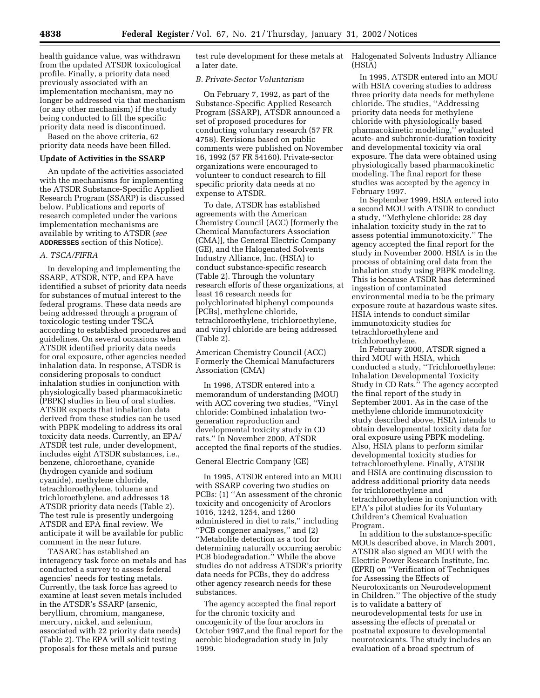health guidance value, was withdrawn from the updated ATSDR toxicological profile. Finally, a priority data need previously associated with an implementation mechanism, may no longer be addressed via that mechanism (or any other mechanism) if the study being conducted to fill the specific priority data need is discontinued.

Based on the above criteria, 62 priority data needs have been filled.

#### **Update of Activities in the SSARP**

An update of the activities associated with the mechanisms for implementing the ATSDR Substance-Specific Applied Research Program (SSARP) is discussed below. Publications and reports of research completed under the various implementation mechanisms are available by writing to ATSDR (*see* **ADDRESSES** section of this Notice).

#### *A. TSCA/FIFRA*

In developing and implementing the SSARP, ATSDR, NTP, and EPA have identified a subset of priority data needs for substances of mutual interest to the federal programs. These data needs are being addressed through a program of toxicologic testing under TSCA according to established procedures and guidelines. On several occasions when ATSDR identified priority data needs for oral exposure, other agencies needed inhalation data. In response, ATSDR is considering proposals to conduct inhalation studies in conjunction with physiologically based pharmacokinetic (PBPK) studies in lieu of oral studies. ATSDR expects that inhalation data derived from these studies can be used with PBPK modeling to address its oral toxicity data needs. Currently, an EPA/ ATSDR test rule, under development, includes eight ATSDR substances, i.e., benzene, chloroethane, cyanide (hydrogen cyanide and sodium cyanide), methylene chloride, tetrachloroethylene, toluene and trichloroethylene, and addresses 18 ATSDR priority data needs (Table 2). The test rule is presently undergoing ATSDR and EPA final review. We anticipate it will be available for public comment in the near future.

TASARC has established an interagency task force on metals and has conducted a survey to assess federal agencies' needs for testing metals. Currently, the task force has agreed to examine at least seven metals included in the ATSDR's SSARP (arsenic, beryllium, chromium, manganese, mercury, nickel, and selenium, associated with 22 priority data needs) (Table 2). The EPA will solicit testing proposals for these metals and pursue

test rule development for these metals at a later date.

#### *B. Private-Sector Voluntarism*

On February 7, 1992, as part of the Substance-Specific Applied Research Program (SSARP), ATSDR announced a set of proposed procedures for conducting voluntary research (57 FR 4758). Revisions based on public comments were published on November 16, 1992 (57 FR 54160). Private-sector organizations were encouraged to volunteer to conduct research to fill specific priority data needs at no expense to ATSDR.

To date, ATSDR has established agreements with the American Chemistry Council (ACC) [formerly the Chemical Manufacturers Association (CMA)], the General Electric Company (GE), and the Halogenated Solvents Industry Alliance, Inc. (HSIA) to conduct substance-specific research (Table 2). Through the voluntary research efforts of these organizations, at least 16 research needs for polychlorinated biphenyl compounds [PCBs], methylene chloride, tetrachloroethylene, trichloroethylene, and vinyl chloride are being addressed (Table 2).

American Chemistry Council (ACC) Formerly the Chemical Manufacturers Association (CMA)

In 1996, ATSDR entered into a memorandum of understanding (MOU) with ACC covering two studies, ''Vinyl chloride: Combined inhalation twogeneration reproduction and developmental toxicity study in CD rats.'' In November 2000, ATSDR accepted the final reports of the studies.

#### General Electric Company (GE)

In 1995, ATSDR entered into an MOU with SSARP covering two studies on PCBs: (1) ''An assessment of the chronic toxicity and oncogenicity of Aroclors 1016, 1242, 1254, and 1260 administered in diet to rats,'' including ''PCB congener analyses,'' and (2) ''Metabolite detection as a tool for determining naturally occurring aerobic PCB biodegradation.'' While the above studies do not address ATSDR's priority data needs for PCBs, they do address other agency research needs for these substances.

The agency accepted the final report for the chronic toxicity and oncogenicity of the four aroclors in October 1997,and the final report for the aerobic biodegradation study in July 1999.

Halogenated Solvents Industry Alliance (HSIA)

In 1995, ATSDR entered into an MOU with HSIA covering studies to address three priority data needs for methylene chloride. The studies, ''Addressing priority data needs for methylene chloride with physiologically based pharmacokinetic modeling,'' evaluated acute- and subchronic-duration toxicity and developmental toxicity via oral exposure. The data were obtained using physiologically based pharmacokinetic modeling. The final report for these studies was accepted by the agency in February 1997.

In September 1999, HSIA entered into a second MOU with ATSDR to conduct a study, ''Methylene chloride: 28 day inhalation toxicity study in the rat to assess potential immunotoxicity.'' The agency accepted the final report for the study in November 2000. HSIA is in the process of obtaining oral data from the inhalation study using PBPK modeling. This is because ATSDR has determined ingestion of contaminated environmental media to be the primary exposure route at hazardous waste sites. HSIA intends to conduct similar immunotoxicity studies for tetrachloroethylene and trichloroethylene.

In February 2000, ATSDR signed a third MOU with HSIA, which conducted a study, ''Trichloroethylene: Inhalation Developmental Toxicity Study in CD Rats.'' The agency accepted the final report of the study in September 2001. As in the case of the methylene chloride immunotoxicity study described above, HSIA intends to obtain developmental toxicity data for oral exposure using PBPK modeling. Also, HSIA plans to perform similar developmental toxicity studies for tetrachloroethylene. Finally, ATSDR and HSIA are continuing discussion to address additional priority data needs for trichloroethylene and tetrachloroethylene in conjunction with EPA's pilot studies for its Voluntary Children's Chemical Evaluation Program.

In addition to the substance-specific MOUs described above, in March 2001, ATSDR also signed an MOU with the Electric Power Research Institute, Inc. (EPRI) on ''Verification of Techniques for Assessing the Effects of Neurotoxicants on Neurodevelopment in Children.'' The objective of the study is to validate a battery of neurodevelopmental tests for use in assessing the effects of prenatal or postnatal exposure to developmental neurotoxicants. The study includes an evaluation of a broad spectrum of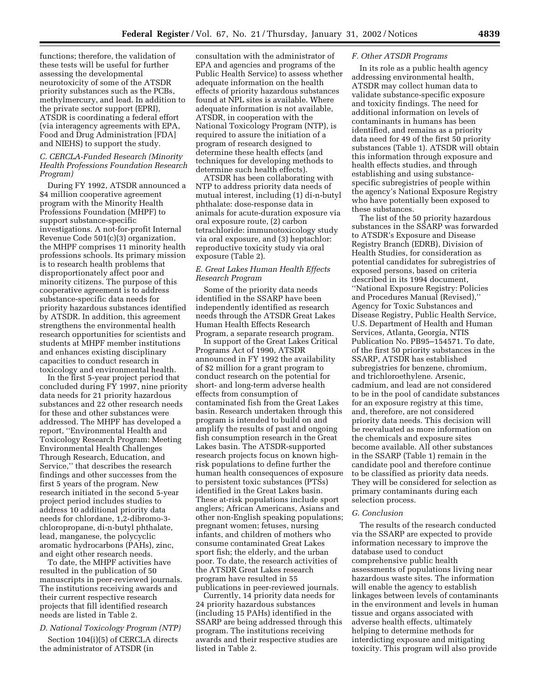functions; therefore, the validation of these tests will be useful for further assessing the developmental neurotoxicity of some of the ATSDR priority substances such as the PCBs, methylmercury, and lead. In addition to the private sector support (EPRI), ATSDR is coordinating a federal effort (via interagency agreements with EPA, Food and Drug Administration [FDA] and NIEHS) to support the study.

#### *C. CERCLA-Funded Research (Minority Health Professions Foundation Research Program)*

During FY 1992, ATSDR announced a \$4 million cooperative agreement program with the Minority Health Professions Foundation (MHPF) to support substance-specific investigations. A not-for-profit Internal Revenue Code 501(c)(3) organization, the MHPF comprises 11 minority health professions schools. Its primary mission is to research health problems that disproportionately affect poor and minority citizens. The purpose of this cooperative agreement is to address substance-specific data needs for priority hazardous substances identified by ATSDR. In addition, this agreement strengthens the environmental health research opportunities for scientists and students at MHPF member institutions and enhances existing disciplinary capacities to conduct research in toxicology and environmental health.

In the first 5-year project period that concluded during FY 1997, nine priority data needs for 21 priority hazardous substances and 22 other research needs for these and other substances were addressed. The MHPF has developed a report, ''Environmental Health and Toxicology Research Program: Meeting Environmental Health Challenges Through Research, Education, and Service,'' that describes the research findings and other successes from the first 5 years of the program. New research initiated in the second 5-year project period includes studies to address 10 additional priority data needs for chlordane, 1,2-dibromo-3 chloropropane, di-n-butyl phthalate, lead, manganese, the polycyclic aromatic hydrocarbons (PAHs), zinc, and eight other research needs.

To date, the MHPF activities have resulted in the publication of 50 manuscripts in peer-reviewed journals. The institutions receiving awards and their current respective research projects that fill identified research needs are listed in Table 2.

#### *D. National Toxicology Program (NTP)*

Section 104(i)(5) of CERCLA directs the administrator of ATSDR (in

consultation with the administrator of EPA and agencies and programs of the Public Health Service) to assess whether adequate information on the health effects of priority hazardous substances found at NPL sites is available. Where adequate information is not available, ATSDR, in cooperation with the National Toxicology Program (NTP), is required to assure the initiation of a program of research designed to determine these health effects (and techniques for developing methods to determine such health effects).

ATSDR has been collaborating with NTP to address priority data needs of mutual interest, including (1) di-n-butyl phthalate: dose-response data in animals for acute-duration exposure via oral exposure route, (2) carbon tetrachloride: immunotoxicology study via oral exposure, and (3) heptachlor: reproductive toxicity study via oral exposure (Table 2).

#### *E. Great Lakes Human Health Effects Research Program*

Some of the priority data needs identified in the SSARP have been independently identified as research needs through the ATSDR Great Lakes Human Health Effects Research Program, a separate research program.

In support of the Great Lakes Critical Programs Act of 1990, ATSDR announced in FY 1992 the availability of \$2 million for a grant program to conduct research on the potential for short- and long-term adverse health effects from consumption of contaminated fish from the Great Lakes basin. Research undertaken through this program is intended to build on and amplify the results of past and ongoing fish consumption research in the Great Lakes basin. The ATSDR-supported research projects focus on known highrisk populations to define further the human health consequences of exposure to persistent toxic substances (PTSs) identified in the Great Lakes basin. These at-risk populations include sport anglers; African Americans, Asians and other non-English speaking populations; pregnant women; fetuses, nursing infants, and children of mothers who consume contaminated Great Lakes sport fish; the elderly, and the urban poor. To date, the research activities of the ATSDR Great Lakes research program have resulted in 55 publications in peer-reviewed journals.

Currently, 14 priority data needs for 24 priority hazardous substances (including 15 PAHs) identified in the SSARP are being addressed through this program. The institutions receiving awards and their respective studies are listed in Table 2.

#### *F. Other ATSDR Programs*

In its role as a public health agency addressing environmental health, ATSDR may collect human data to validate substance-specific exposure and toxicity findings. The need for additional information on levels of contaminants in humans has been identified, and remains as a priority data need for 49 of the first 50 priority substances (Table 1). ATSDR will obtain this information through exposure and health effects studies, and through establishing and using substancespecific subregistries of people within the agency's National Exposure Registry who have potentially been exposed to these substances.

The list of the 50 priority hazardous substances in the SSARP was forwarded to ATSDR's Exposure and Disease Registry Branch (EDRB), Division of Health Studies, for consideration as potential candidates for subregistries of exposed persons, based on criteria described in its 1994 document, ''National Exposure Registry: Policies and Procedures Manual (Revised),'' Agency for Toxic Substances and Disease Registry, Public Health Service, U.S. Department of Health and Human Services, Atlanta, Georgia, NTIS Publication No. PB95–154571. To date, of the first 50 priority substances in the SSARP, ATSDR has established subregistries for benzene, chromium, and trichloroethylene. Arsenic, cadmium, and lead are not considered to be in the pool of candidate substances for an exposure registry at this time, and, therefore, are not considered priority data needs. This decision will be reevaluated as more information on the chemicals and exposure sites become available. All other substances in the SSARP (Table 1) remain in the candidate pool and therefore continue to be classified as priority data needs. They will be considered for selection as primary contaminants during each selection process.

#### *G. Conclusion*

The results of the research conducted via the SSARP are expected to provide information necessary to improve the database used to conduct comprehensive public health assessments of populations living near hazardous waste sites. The information will enable the agency to establish linkages between levels of contaminants in the environment and levels in human tissue and organs associated with adverse health effects, ultimately helping to determine methods for interdicting exposure and mitigating toxicity. This program will also provide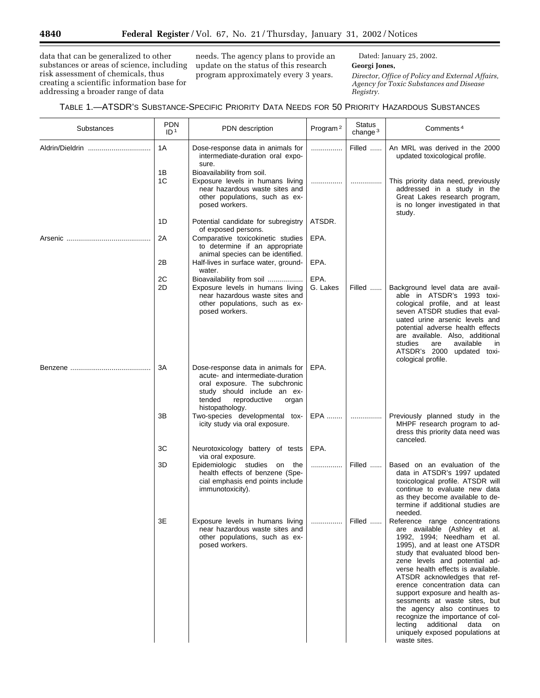data that can be generalized to other substances or areas of science, including risk assessment of chemicals, thus creating a scientific information base for addressing a broader range of data

needs. The agency plans to provide an update on the status of this research program approximately every 3 years.

Dated: January 25, 2002.

**Georgi Jones,**

*Director, Office of Policy and External Affairs, Agency for Toxic Substances and Disease Registry.*

| Substances      | <b>PDN</b><br>ID <sup>1</sup> | PDN description                                                                                                                                                                             | Program <sup>2</sup> | <b>Status</b><br>change $3$ | Comments <sup>4</sup>                                                                                                                                                                                                                                                                                                                                                                                                                                                                                                             |
|-----------------|-------------------------------|---------------------------------------------------------------------------------------------------------------------------------------------------------------------------------------------|----------------------|-----------------------------|-----------------------------------------------------------------------------------------------------------------------------------------------------------------------------------------------------------------------------------------------------------------------------------------------------------------------------------------------------------------------------------------------------------------------------------------------------------------------------------------------------------------------------------|
| Aldrin/Dieldrin | 1A                            | Dose-response data in animals for<br>intermediate-duration oral expo-<br>sure.                                                                                                              | .                    | Filled                      | An MRL was derived in the 2000<br>updated toxicological profile.                                                                                                                                                                                                                                                                                                                                                                                                                                                                  |
|                 | 1Β<br>1C                      | Bioavailability from soil.<br>Exposure levels in humans living<br>near hazardous waste sites and<br>other populations, such as ex-<br>posed workers.                                        | .                    | .                           | This priority data need, previously<br>addressed in a study in the<br>Great Lakes research program,<br>is no longer investigated in that<br>study.                                                                                                                                                                                                                                                                                                                                                                                |
|                 | 1D                            | Potential candidate for subregistry                                                                                                                                                         | ATSDR.               |                             |                                                                                                                                                                                                                                                                                                                                                                                                                                                                                                                                   |
|                 | 2A                            | of exposed persons.<br>Comparative toxicokinetic studies<br>to determine if an appropriate<br>animal species can be identified.                                                             | EPA.                 |                             |                                                                                                                                                                                                                                                                                                                                                                                                                                                                                                                                   |
|                 | 2Β                            | Half-lives in surface water, ground-                                                                                                                                                        | EPA.                 |                             |                                                                                                                                                                                                                                                                                                                                                                                                                                                                                                                                   |
|                 | 2C                            | water.<br>Bioavailability from soil                                                                                                                                                         | EPA.                 |                             |                                                                                                                                                                                                                                                                                                                                                                                                                                                                                                                                   |
|                 | 2D                            | Exposure levels in humans living<br>near hazardous waste sites and<br>other populations, such as ex-<br>posed workers.                                                                      | G. Lakes             | Filled                      | Background level data are avail-<br>able in ATSDR's 1993 toxi-<br>cological profile, and at least<br>seven ATSDR studies that eval-<br>uated urine arsenic levels and<br>potential adverse health effects<br>are available. Also, additional<br>studies<br>available<br>are<br>in<br>ATSDR's 2000 updated toxi-<br>cological profile.                                                                                                                                                                                             |
|                 | ЗA                            | Dose-response data in animals for<br>acute- and intermediate-duration<br>oral exposure. The subchronic<br>study should include an ex-<br>tended<br>reproductive<br>organ<br>histopathology. | EPA.                 |                             |                                                                                                                                                                                                                                                                                                                                                                                                                                                                                                                                   |
|                 | ЗB                            | Two-species developmental tox-<br>icity study via oral exposure.                                                                                                                            | EPA                  | .                           | Previously planned study in the<br>MHPF research program to ad-<br>dress this priority data need was<br>canceled.                                                                                                                                                                                                                                                                                                                                                                                                                 |
|                 | ЗC                            | Neurotoxicology battery of tests<br>via oral exposure.                                                                                                                                      | EPA.                 |                             |                                                                                                                                                                                                                                                                                                                                                                                                                                                                                                                                   |
|                 | 3D                            | Epidemiologic studies on<br>the<br>health effects of benzene (Spe-<br>cial emphasis end points include<br>immunotoxicity).                                                                  | .                    | Filled                      | Based on an evaluation of the<br>data in ATSDR's 1997 updated<br>toxicological profile. ATSDR will<br>continue to evaluate new data<br>as they become available to de-<br>termine if additional studies are<br>needed.                                                                                                                                                                                                                                                                                                            |
|                 | 3E                            | Exposure levels in humans living<br>near hazardous waste sites and<br>other populations, such as ex-<br>posed workers.                                                                      | .                    | Filled                      | Reference range concentrations<br>are available (Ashley et al.<br>1992, 1994; Needham et al.<br>1995), and at least one ATSDR<br>study that evaluated blood ben-<br>zene levels and potential ad-<br>verse health effects is available.<br>ATSDR acknowledges that ref-<br>erence concentration data can<br>support exposure and health as-<br>sessments at waste sites, but<br>the agency also continues to<br>recognize the importance of col-<br>lecting additional data on<br>uniquely exposed populations at<br>waste sites. |

۳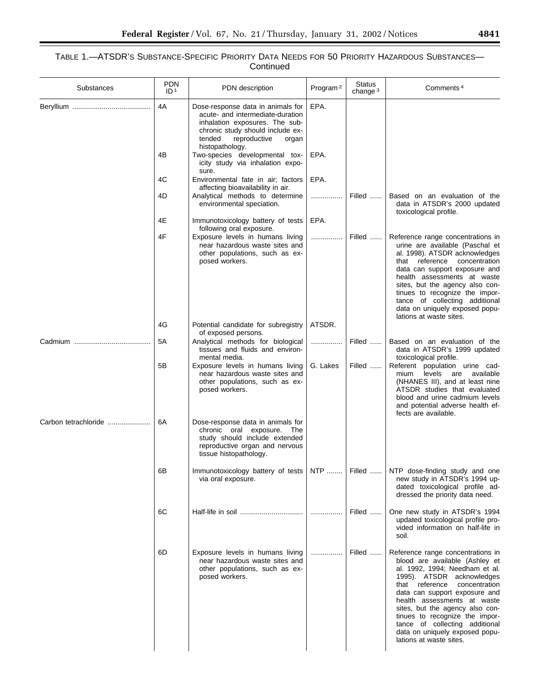| Substances           | <b>PDN</b><br>ID <sup>1</sup> | PDN description                                                                                                                                                                                   | Program <sup>2</sup> | <b>Status</b><br>change $3$ | Comments <sup>4</sup>                                                                                                                                                                                                                                                                                                                                                                                     |
|----------------------|-------------------------------|---------------------------------------------------------------------------------------------------------------------------------------------------------------------------------------------------|----------------------|-----------------------------|-----------------------------------------------------------------------------------------------------------------------------------------------------------------------------------------------------------------------------------------------------------------------------------------------------------------------------------------------------------------------------------------------------------|
|                      | 4A                            | Dose-response data in animals for<br>acute- and intermediate-duration<br>inhalation exposures. The sub-<br>chronic study should include ex-<br>reproductive<br>tended<br>organ<br>histopathology. | EPA.                 |                             |                                                                                                                                                                                                                                                                                                                                                                                                           |
|                      | 4B                            | Two-species developmental tox-<br>icity study via inhalation expo-<br>sure.                                                                                                                       | EPA.                 |                             |                                                                                                                                                                                                                                                                                                                                                                                                           |
|                      | 4C                            | Environmental fate in air; factors<br>affecting bioavailability in air.                                                                                                                           | EPA.                 |                             |                                                                                                                                                                                                                                                                                                                                                                                                           |
|                      | 4D                            | Analytical methods to determine<br>environmental speciation.                                                                                                                                      | .                    | Filled                      | Based on an evaluation of the<br>data in ATSDR's 2000 updated<br>toxicological profile.                                                                                                                                                                                                                                                                                                                   |
|                      | 4E                            | Immunotoxicology battery of tests<br>following oral exposure.                                                                                                                                     | EPA.                 |                             |                                                                                                                                                                                                                                                                                                                                                                                                           |
|                      | 4F                            | Exposure levels in humans living<br>near hazardous waste sites and<br>other populations, such as ex-<br>posed workers.                                                                            | .                    | Filled                      | Reference range concentrations in<br>urine are available (Paschal et<br>al. 1998). ATSDR acknowledges<br>that reference<br>concentration<br>data can support exposure and<br>health assessments at waste<br>sites, but the agency also con-<br>tinues to recognize the impor-<br>tance of collecting additional<br>data on uniquely exposed popu-<br>lations at waste sites.                              |
|                      | 4G                            | Potential candidate for subregistry<br>of exposed persons.                                                                                                                                        | ATSDR.               |                             |                                                                                                                                                                                                                                                                                                                                                                                                           |
|                      | 5A                            | Analytical methods for biological<br>tissues and fluids and environ-<br>mental media.                                                                                                             | .                    | Filled                      | Based on an evaluation of the<br>data in ATSDR's 1999 updated<br>toxicological profile.                                                                                                                                                                                                                                                                                                                   |
|                      | 5Β                            | Exposure levels in humans living<br>near hazardous waste sites and<br>other populations, such as ex-<br>posed workers.                                                                            | G. Lakes             | Filled                      | Referent population urine cad-<br>mium<br>levels<br>available<br>are<br>(NHANES III), and at least nine<br>ATSDR studies that evaluated<br>blood and urine cadmium levels<br>and potential adverse health ef-<br>fects are available.                                                                                                                                                                     |
| Carbon tetrachloride | 6A                            | Dose-response data in animals for<br>chronic oral exposure.<br>The<br>study should include extended<br>reproductive organ and nervous<br>tissue histopathology.                                   |                      |                             |                                                                                                                                                                                                                                                                                                                                                                                                           |
|                      | 6B                            | Immunotoxicology battery of tests   NTP    Filled<br>via oral exposure.                                                                                                                           |                      |                             | NTP dose-finding study and one<br>new study in ATSDR's 1994 up-<br>dated toxicological profile ad-<br>dressed the priority data need.                                                                                                                                                                                                                                                                     |
|                      | 6C                            |                                                                                                                                                                                                   | .                    | Filled                      | One new study in ATSDR's 1994<br>updated toxicological profile pro-<br>vided information on half-life in<br>soil.                                                                                                                                                                                                                                                                                         |
|                      | 6D                            | Exposure levels in humans living<br>near hazardous waste sites and<br>other populations, such as ex-<br>posed workers.                                                                            | .                    | Filled                      | Reference range concentrations in<br>blood are available (Ashley et<br>al. 1992, 1994; Needham et al.<br>1995). ATSDR acknowledges<br>that reference<br>concentration<br>data can support exposure and<br>health assessments at waste<br>sites, but the agency also con-<br>tinues to recognize the impor-<br>tance of collecting additional<br>data on uniquely exposed popu-<br>lations at waste sites. |

 $\equiv$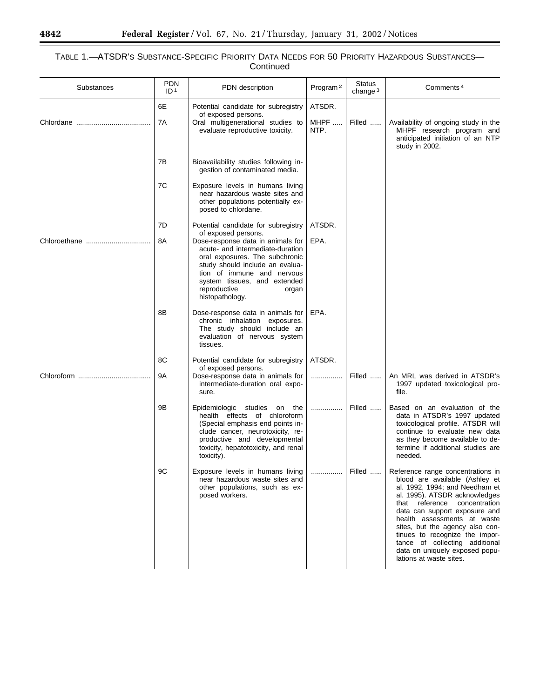## TABLE 1.—ATSDR'S SUBSTANCE-SPECIFIC PRIORITY DATA NEEDS FOR 50 PRIORITY HAZARDOUS SUBSTANCES— Continued

| Substances   | <b>PDN</b><br>ID <sup>1</sup> | PDN description                                                                                                                                                                                                                                                             | Program <sup>2</sup> | <b>Status</b><br>change $3$ | Comments <sup>4</sup>                                                                                                                                                                                                                                                                                                                                                                                         |
|--------------|-------------------------------|-----------------------------------------------------------------------------------------------------------------------------------------------------------------------------------------------------------------------------------------------------------------------------|----------------------|-----------------------------|---------------------------------------------------------------------------------------------------------------------------------------------------------------------------------------------------------------------------------------------------------------------------------------------------------------------------------------------------------------------------------------------------------------|
|              | 6E<br>7A                      | Potential candidate for subregistry<br>of exposed persons.<br>Oral multigenerational studies to                                                                                                                                                                             | ATSDR.<br>MHPF       | Filled                      | Availability of ongoing study in the                                                                                                                                                                                                                                                                                                                                                                          |
|              |                               | evaluate reproductive toxicity.                                                                                                                                                                                                                                             | NTP.                 |                             | MHPF research program and<br>anticipated initiation of an NTP<br>study in 2002.                                                                                                                                                                                                                                                                                                                               |
|              | 7B                            | Bioavailability studies following in-<br>gestion of contaminated media.                                                                                                                                                                                                     |                      |                             |                                                                                                                                                                                                                                                                                                                                                                                                               |
|              | 7C                            | Exposure levels in humans living<br>near hazardous waste sites and<br>other populations potentially ex-<br>posed to chlordane.                                                                                                                                              |                      |                             |                                                                                                                                                                                                                                                                                                                                                                                                               |
|              | 7D                            | Potential candidate for subregistry                                                                                                                                                                                                                                         | ATSDR.               |                             |                                                                                                                                                                                                                                                                                                                                                                                                               |
| Chloroethane | 8A                            | of exposed persons.<br>Dose-response data in animals for<br>acute- and intermediate-duration<br>oral exposures. The subchronic<br>study should include an evalua-<br>tion of immune and nervous<br>system tissues, and extended<br>reproductive<br>organ<br>histopathology. | EPA.                 |                             |                                                                                                                                                                                                                                                                                                                                                                                                               |
|              | 8B                            | Dose-response data in animals for<br>chronic inhalation exposures.<br>The study should include an<br>evaluation of nervous system<br>tissues.                                                                                                                               | EPA.                 |                             |                                                                                                                                                                                                                                                                                                                                                                                                               |
|              | 8C                            | Potential candidate for subregistry<br>of exposed persons.                                                                                                                                                                                                                  | ATSDR.               |                             |                                                                                                                                                                                                                                                                                                                                                                                                               |
| Chloroform   | 9Α                            | Dose-response data in animals for<br>intermediate-duration oral expo-<br>sure.                                                                                                                                                                                              | .                    | Filled                      | An MRL was derived in ATSDR's<br>1997 updated toxicological pro-<br>file.                                                                                                                                                                                                                                                                                                                                     |
|              | 9Β                            | Epidemiologic studies on the<br>health effects of chloroform<br>(Special emphasis end points in-<br>clude cancer, neurotoxicity, re-<br>productive and developmental<br>toxicity, hepatotoxicity, and renal<br>toxicity).                                                   | .                    | Filled                      | Based on an evaluation of the<br>data in ATSDR's 1997 updated<br>toxicological profile. ATSDR will<br>continue to evaluate new data<br>as they become available to de-<br>termine if additional studies are<br>needed.                                                                                                                                                                                        |
|              | 9C                            | Exposure levels in humans living<br>near hazardous waste sites and<br>other populations, such as ex-<br>posed workers.                                                                                                                                                      |                      | Filled                      | Reference range concentrations in<br>blood are available (Ashley et<br>al. 1992, 1994; and Needham et<br>al. 1995). ATSDR acknowledges<br>that reference<br>concentration<br>data can support exposure and<br>health assessments at waste<br>sites, but the agency also con-<br>tinues to recognize the impor-<br>tance of collecting additional<br>data on uniquely exposed popu-<br>lations at waste sites. |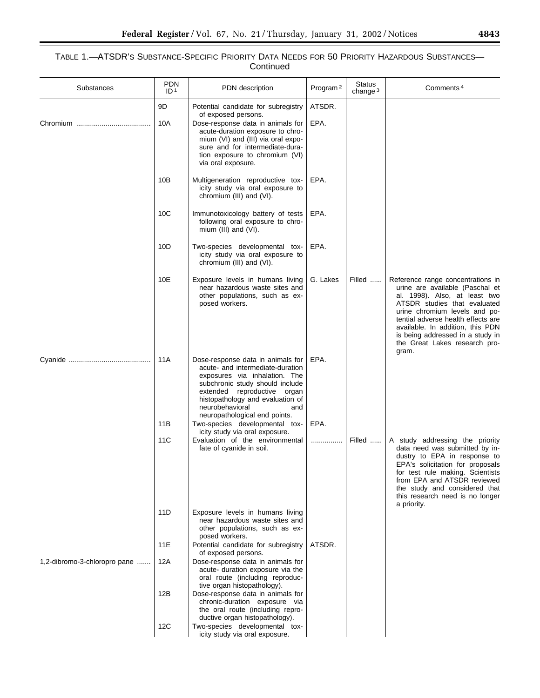| Substances                   | <b>PDN</b><br>ID <sup>1</sup> | PDN description                                                                                                                                                                                                                                                                                           | Program <sup>2</sup> | Status<br>change $3$ | Comments <sup>4</sup>                                                                                                                                                                                                                                                                                                          |
|------------------------------|-------------------------------|-----------------------------------------------------------------------------------------------------------------------------------------------------------------------------------------------------------------------------------------------------------------------------------------------------------|----------------------|----------------------|--------------------------------------------------------------------------------------------------------------------------------------------------------------------------------------------------------------------------------------------------------------------------------------------------------------------------------|
|                              | 9D<br>10A                     | Potential candidate for subregistry<br>of exposed persons.<br>Dose-response data in animals for<br>acute-duration exposure to chro-<br>mium (VI) and (III) via oral expo-<br>sure and for intermediate-dura-<br>tion exposure to chromium (VI)<br>via oral exposure.                                      | ATSDR.<br>EPA.       |                      |                                                                                                                                                                                                                                                                                                                                |
|                              | 10B                           | Multigeneration reproductive tox-<br>icity study via oral exposure to<br>chromium (III) and (VI).                                                                                                                                                                                                         | EPA.                 |                      |                                                                                                                                                                                                                                                                                                                                |
|                              | 10 <sub>C</sub>               | Immunotoxicology battery of tests<br>following oral exposure to chro-<br>mium (III) and (VI).                                                                                                                                                                                                             | EPA.                 |                      |                                                                                                                                                                                                                                                                                                                                |
|                              | 10 <sub>D</sub>               | Two-species developmental tox-<br>icity study via oral exposure to<br>chromium (III) and (VI).                                                                                                                                                                                                            | EPA.                 |                      |                                                                                                                                                                                                                                                                                                                                |
|                              | 10E                           | Exposure levels in humans living<br>near hazardous waste sites and<br>other populations, such as ex-<br>posed workers.                                                                                                                                                                                    | G. Lakes             | Filled               | Reference range concentrations in<br>urine are available (Paschal et<br>al. 1998). Also, at least two<br>ATSDR studies that evaluated<br>urine chromium levels and po-<br>tential adverse health effects are<br>available. In addition, this PDN<br>is being addressed in a study in<br>the Great Lakes research pro-<br>gram. |
|                              | 11A<br>11B                    | Dose-response data in animals for<br>acute- and intermediate-duration<br>exposures via inhalation. The<br>subchronic study should include<br>extended reproductive organ<br>histopathology and evaluation of<br>neurobehavioral<br>and<br>neuropathological end points.<br>Two-species developmental tox- | EPA.<br>EPA.         |                      |                                                                                                                                                                                                                                                                                                                                |
|                              |                               | icity study via oral exposure.<br>Evaluation of the environmental                                                                                                                                                                                                                                         |                      |                      |                                                                                                                                                                                                                                                                                                                                |
|                              | 11C                           | fate of cyanide in soil.                                                                                                                                                                                                                                                                                  | .                    | Filled               | A study addressing the priority<br>data need was submitted by in-<br>dustry to EPA in response to<br>EPA's solicitation for proposals<br>for test rule making. Scientists<br>from EPA and ATSDR reviewed<br>the study and considered that<br>this research need is no longer<br>a priority.                                    |
|                              | 11D                           | Exposure levels in humans living<br>near hazardous waste sites and<br>other populations, such as ex-<br>posed workers.                                                                                                                                                                                    |                      |                      |                                                                                                                                                                                                                                                                                                                                |
|                              | 11E                           | Potential candidate for subregistry<br>of exposed persons.                                                                                                                                                                                                                                                | ATSDR.               |                      |                                                                                                                                                                                                                                                                                                                                |
| 1,2-dibromo-3-chloropro pane | 12A                           | Dose-response data in animals for<br>acute- duration exposure via the<br>oral route (including reproduc-<br>tive organ histopathology).                                                                                                                                                                   |                      |                      |                                                                                                                                                                                                                                                                                                                                |
|                              | 12B                           | Dose-response data in animals for<br>chronic-duration exposure via<br>the oral route (including repro-<br>ductive organ histopathology).                                                                                                                                                                  |                      |                      |                                                                                                                                                                                                                                                                                                                                |
|                              | 12C                           | Two-species developmental tox-<br>icity study via oral exposure.                                                                                                                                                                                                                                          |                      |                      |                                                                                                                                                                                                                                                                                                                                |

▀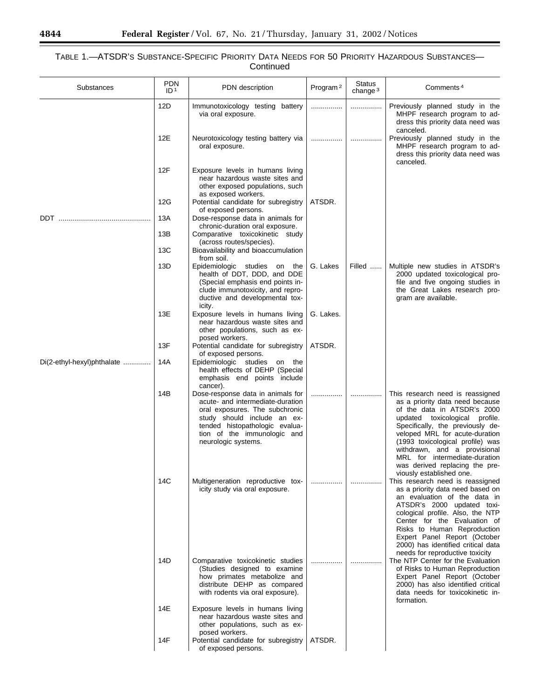## TABLE 1.—ATSDR'S SUBSTANCE-SPECIFIC PRIORITY DATA NEEDS FOR 50 PRIORITY HAZARDOUS SUBSTANCES— Continued

| Substances                 | PDN<br>ID <sup>1</sup> | PDN description                                                                                                                                                                                                                | Program <sup>2</sup> | <b>Status</b><br>change $3$ | Comments <sup>4</sup>                                                                                                                                                                                                                                                                                                                                                         |
|----------------------------|------------------------|--------------------------------------------------------------------------------------------------------------------------------------------------------------------------------------------------------------------------------|----------------------|-----------------------------|-------------------------------------------------------------------------------------------------------------------------------------------------------------------------------------------------------------------------------------------------------------------------------------------------------------------------------------------------------------------------------|
|                            | 12D                    | Immunotoxicology testing battery<br>via oral exposure.                                                                                                                                                                         | .                    | .                           | Previously planned study in the<br>MHPF research program to ad-<br>dress this priority data need was<br>canceled.                                                                                                                                                                                                                                                             |
|                            | 12E                    | Neurotoxicology testing battery via<br>oral exposure.                                                                                                                                                                          |                      |                             | Previously planned study in the<br>MHPF research program to ad-<br>dress this priority data need was<br>canceled.                                                                                                                                                                                                                                                             |
|                            | 12F                    | Exposure levels in humans living<br>near hazardous waste sites and<br>other exposed populations, such<br>as exposed workers.                                                                                                   |                      |                             |                                                                                                                                                                                                                                                                                                                                                                               |
|                            | 12G                    | Potential candidate for subregistry<br>of exposed persons.                                                                                                                                                                     | ATSDR.               |                             |                                                                                                                                                                                                                                                                                                                                                                               |
|                            | 13A<br>13B             | Dose-response data in animals for<br>chronic-duration oral exposure.<br>Comparative toxicokinetic study                                                                                                                        |                      |                             |                                                                                                                                                                                                                                                                                                                                                                               |
|                            | 13C                    | (across routes/species).<br>Bioavailability and bioaccumulation                                                                                                                                                                |                      |                             |                                                                                                                                                                                                                                                                                                                                                                               |
|                            | 13D                    | from soil.<br>Epidemiologic studies on<br>the<br>health of DDT, DDD, and DDE<br>(Special emphasis end points in-<br>clude immunotoxicity, and repro-<br>ductive and developmental tox-                                         | G. Lakes             | Filled                      | Multiple new studies in ATSDR's<br>2000 updated toxicological pro-<br>file and five ongoing studies in<br>the Great Lakes research pro-<br>gram are available.                                                                                                                                                                                                                |
|                            | 13E                    | icity.<br>Exposure levels in humans living<br>near hazardous waste sites and<br>other populations, such as ex-<br>posed workers.                                                                                               | G. Lakes.            |                             |                                                                                                                                                                                                                                                                                                                                                                               |
|                            | 13F                    | Potential candidate for subregistry<br>of exposed persons.                                                                                                                                                                     | ATSDR.               |                             |                                                                                                                                                                                                                                                                                                                                                                               |
| Di(2-ethyl-hexyl)phthalate | 14A                    | Epidemiologic studies on the<br>health effects of DEHP (Special<br>emphasis end points include<br>cancer).                                                                                                                     |                      |                             |                                                                                                                                                                                                                                                                                                                                                                               |
|                            | 14B                    | Dose-response data in animals for<br>acute- and intermediate-duration<br>oral exposures. The subchronic<br>study should include an ex-<br>tended histopathologic evalua-<br>tion of the immunologic and<br>neurologic systems. |                      |                             | This research need is reassigned<br>as a priority data need because<br>of the data in ATSDR's 2000<br>updated toxicological profile.<br>Specifically, the previously de-<br>veloped MRL for acute-duration<br>(1993 toxicological profile) was<br>withdrawn, and a provisional<br>MRL for intermediate-duration<br>was derived replacing the pre-<br>viously established one. |
|                            | 14C                    | Multigeneration reproductive tox-<br>icity study via oral exposure.                                                                                                                                                            |                      |                             | This research need is reassigned<br>as a priority data need based on<br>an evaluation of the data in<br>ATSDR's 2000 updated toxi-<br>cological profile. Also, the NTP<br>Center for the Evaluation of<br>Risks to Human Reproduction<br>Expert Panel Report (October<br>2000) has identified critical data<br>needs for reproductive toxicity                                |
|                            | 14D                    | Comparative toxicokinetic studies<br>(Studies designed to examine<br>how primates metabolize and<br>distribute DEHP as compared<br>with rodents via oral exposure).                                                            |                      |                             | The NTP Center for the Evaluation<br>of Risks to Human Reproduction<br>Expert Panel Report (October<br>2000) has also identified critical<br>data needs for toxicokinetic in-<br>formation.                                                                                                                                                                                   |
|                            | 14E                    | Exposure levels in humans living<br>near hazardous waste sites and<br>other populations, such as ex-<br>posed workers.                                                                                                         |                      |                             |                                                                                                                                                                                                                                                                                                                                                                               |
|                            | 14F                    | Potential candidate for subregistry<br>of exposed persons.                                                                                                                                                                     | ATSDR.               |                             |                                                                                                                                                                                                                                                                                                                                                                               |

-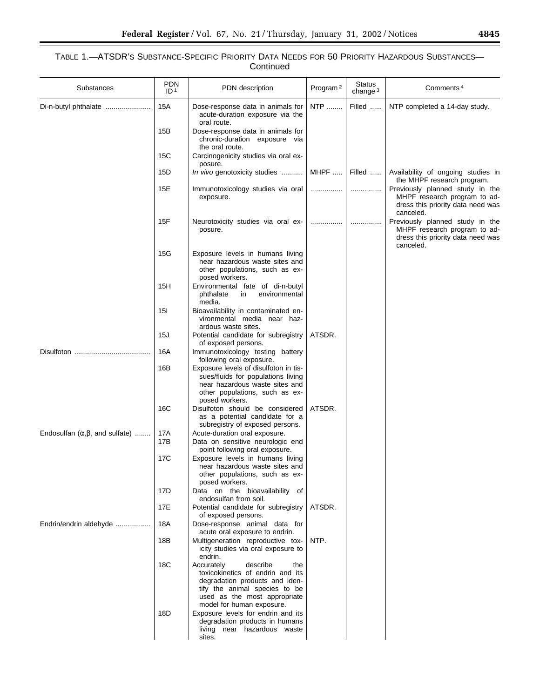| Substances                                               | <b>PDN</b><br>ID <sup>1</sup> | PDN description                                                                                                                                                                                   | Program <sup>2</sup> | <b>Status</b><br>change $3$ | Comments <sup>4</sup>                                                                                             |
|----------------------------------------------------------|-------------------------------|---------------------------------------------------------------------------------------------------------------------------------------------------------------------------------------------------|----------------------|-----------------------------|-------------------------------------------------------------------------------------------------------------------|
| Di-n-butyl phthalate                                     | 15A                           | Dose-response data in animals for<br>acute-duration exposure via the<br>oral route.                                                                                                               | <b>NTP</b>           | Filled                      | NTP completed a 14-day study.                                                                                     |
|                                                          | 15B                           | Dose-response data in animals for<br>chronic-duration exposure via<br>the oral route.                                                                                                             |                      |                             |                                                                                                                   |
|                                                          | 15C                           | Carcinogenicity studies via oral ex-<br>posure.                                                                                                                                                   |                      |                             |                                                                                                                   |
|                                                          | 15D                           | <i>In vivo</i> genotoxicity studies                                                                                                                                                               | MHPF                 | Filled                      | Availability of ongoing studies in<br>the MHPF research program.                                                  |
|                                                          | 15E                           | Immunotoxicology studies via oral<br>exposure.                                                                                                                                                    | .                    |                             | Previously planned study in the<br>MHPF research program to ad-<br>dress this priority data need was<br>canceled. |
|                                                          | 15F                           | Neurotoxicity studies via oral ex-<br>posure.                                                                                                                                                     |                      |                             | Previously planned study in the<br>MHPF research program to ad-<br>dress this priority data need was<br>canceled. |
|                                                          | 15G                           | Exposure levels in humans living<br>near hazardous waste sites and<br>other populations, such as ex-<br>posed workers.                                                                            |                      |                             |                                                                                                                   |
|                                                          | 15H                           | Environmental fate of di-n-butyl<br>phthalate<br>in<br>environmental<br>media.                                                                                                                    |                      |                             |                                                                                                                   |
|                                                          | 151                           | Bioavailability in contaminated en-<br>vironmental media near haz-<br>ardous waste sites.                                                                                                         |                      |                             |                                                                                                                   |
|                                                          | 15J                           | Potential candidate for subregistry<br>of exposed persons.                                                                                                                                        | ATSDR.               |                             |                                                                                                                   |
|                                                          | 16A                           | Immunotoxicology testing battery<br>following oral exposure.                                                                                                                                      |                      |                             |                                                                                                                   |
|                                                          | 16B                           | Exposure levels of disulfoton in tis-<br>sues/fluids for populations living<br>near hazardous waste sites and<br>other populations, such as ex-<br>posed workers.                                 |                      |                             |                                                                                                                   |
|                                                          | 16C                           | Disulfoton should be considered<br>as a potential candidate for a<br>subregistry of exposed persons.                                                                                              | ATSDR.               |                             |                                                                                                                   |
| Endosulfan $(\alpha, \beta, \text{ and } \text{suffix})$ | 17A                           | Acute-duration oral exposure.                                                                                                                                                                     |                      |                             |                                                                                                                   |
|                                                          | 17B                           | Data on sensitive neurologic end<br>point following oral exposure.                                                                                                                                |                      |                             |                                                                                                                   |
|                                                          | 17C                           | Exposure levels in humans living<br>near hazardous waste sites and<br>other populations, such as ex-<br>posed workers.                                                                            |                      |                             |                                                                                                                   |
|                                                          | 17D                           | Data on the bioavailability of<br>endosulfan from soil.                                                                                                                                           |                      |                             |                                                                                                                   |
|                                                          | 17E                           | Potential candidate for subregistry<br>of exposed persons.                                                                                                                                        | ATSDR.               |                             |                                                                                                                   |
| Endrin/endrin aldehyde                                   | 18A                           | Dose-response animal data for<br>acute oral exposure to endrin.                                                                                                                                   |                      |                             |                                                                                                                   |
|                                                          | 18B                           | Multigeneration reproductive tox-<br>icity studies via oral exposure to<br>endrin.                                                                                                                | NTP.                 |                             |                                                                                                                   |
|                                                          | 18C                           | Accurately<br>describe<br>the<br>toxicokinetics of endrin and its<br>degradation products and iden-<br>tify the animal species to be<br>used as the most appropriate<br>model for human exposure. |                      |                             |                                                                                                                   |
|                                                          | 18D                           | Exposure levels for endrin and its<br>degradation products in humans<br>living near hazardous waste<br>sites.                                                                                     |                      |                             |                                                                                                                   |

 $\equiv$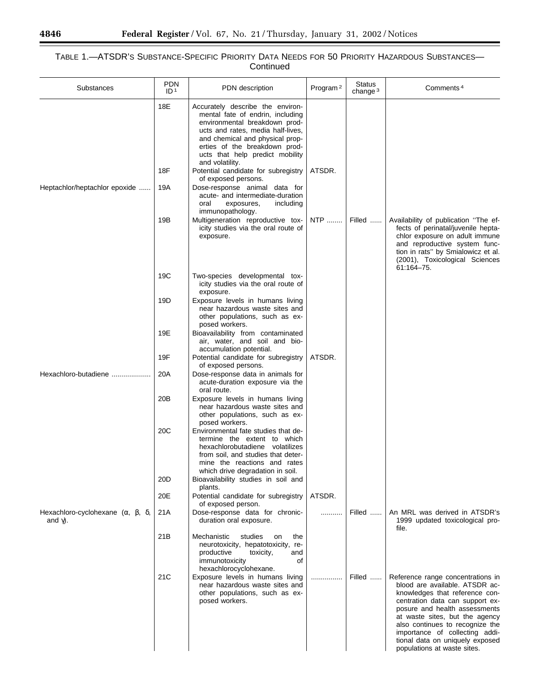## TABLE 1.—ATSDR'S SUBSTANCE-SPECIFIC PRIORITY DATA NEEDS FOR 50 PRIORITY HAZARDOUS SUBSTANCES— Continued

| Substances                                                          | <b>PDN</b><br>ID <sup>1</sup> | PDN description                                                                                                                                                                                                                                                                                                                                                                                                                                                                                                                                         | Program <sup>2</sup> | <b>Status</b><br>change $3$ | Comments <sup>4</sup>                                                                                                                                                                                                                                                                                                                              |
|---------------------------------------------------------------------|-------------------------------|---------------------------------------------------------------------------------------------------------------------------------------------------------------------------------------------------------------------------------------------------------------------------------------------------------------------------------------------------------------------------------------------------------------------------------------------------------------------------------------------------------------------------------------------------------|----------------------|-----------------------------|----------------------------------------------------------------------------------------------------------------------------------------------------------------------------------------------------------------------------------------------------------------------------------------------------------------------------------------------------|
| Heptachlor/heptachlor epoxide                                       | 18E<br>18F<br>19A<br>19B      | Accurately describe the environ-<br>mental fate of endrin, including<br>environmental breakdown prod-<br>ucts and rates, media half-lives,<br>and chemical and physical prop-<br>erties of the breakdown prod-<br>ucts that help predict mobility<br>and volatility.<br>Potential candidate for subregistry<br>of exposed persons.<br>Dose-response animal data for<br>acute- and intermediate-duration<br>oral<br>exposures,<br>including<br>immunopathology.<br>Multigeneration reproductive tox-<br>icity studies via the oral route of<br>exposure. | ATSDR.<br>NTP        | Filled                      | Availability of publication "The ef-<br>fects of perinatal/juvenile hepta-<br>chlor exposure on adult immune<br>and reproductive system func-<br>tion in rats" by Smialowicz et al.<br>(2001), Toxicological Sciences                                                                                                                              |
|                                                                     | 19C                           | Two-species developmental tox-<br>icity studies via the oral route of<br>exposure.                                                                                                                                                                                                                                                                                                                                                                                                                                                                      |                      |                             | 61:164-75.                                                                                                                                                                                                                                                                                                                                         |
|                                                                     | 19D                           | Exposure levels in humans living<br>near hazardous waste sites and<br>other populations, such as ex-<br>posed workers.                                                                                                                                                                                                                                                                                                                                                                                                                                  |                      |                             |                                                                                                                                                                                                                                                                                                                                                    |
|                                                                     | 19E                           | Bioavailability from contaminated<br>air, water, and soil and bio-<br>accumulation potential.                                                                                                                                                                                                                                                                                                                                                                                                                                                           |                      |                             |                                                                                                                                                                                                                                                                                                                                                    |
|                                                                     | 19F                           | Potential candidate for subregistry<br>of exposed persons.                                                                                                                                                                                                                                                                                                                                                                                                                                                                                              | ATSDR.               |                             |                                                                                                                                                                                                                                                                                                                                                    |
| Hexachloro-butadiene                                                | 20A                           | Dose-response data in animals for<br>acute-duration exposure via the<br>oral route.                                                                                                                                                                                                                                                                                                                                                                                                                                                                     |                      |                             |                                                                                                                                                                                                                                                                                                                                                    |
|                                                                     | 20 <sub>B</sub>               | Exposure levels in humans living<br>near hazardous waste sites and<br>other populations, such as ex-<br>posed workers.                                                                                                                                                                                                                                                                                                                                                                                                                                  |                      |                             |                                                                                                                                                                                                                                                                                                                                                    |
|                                                                     | 20C                           | Environmental fate studies that de-<br>termine the extent to which<br>hexachlorobutadiene volatilizes<br>from soil, and studies that deter-<br>mine the reactions and rates                                                                                                                                                                                                                                                                                                                                                                             |                      |                             |                                                                                                                                                                                                                                                                                                                                                    |
|                                                                     | 20D                           | which drive degradation in soil.<br>Bioavailability studies in soil and<br>plants.                                                                                                                                                                                                                                                                                                                                                                                                                                                                      |                      |                             |                                                                                                                                                                                                                                                                                                                                                    |
|                                                                     | 20E                           | Potential candidate for subregistry<br>of exposed person.                                                                                                                                                                                                                                                                                                                                                                                                                                                                                               | ATSDR.               |                             |                                                                                                                                                                                                                                                                                                                                                    |
| Hexachloro-cyclohexane $(\alpha, \beta, \delta)$<br>and $\gamma$ ). | 21A                           | Dose-response data for chronic-<br>duration oral exposure.                                                                                                                                                                                                                                                                                                                                                                                                                                                                                              | .                    | Filled                      | An MRL was derived in ATSDR's<br>1999 updated toxicological pro-<br>file.                                                                                                                                                                                                                                                                          |
|                                                                     | 21B                           | Mechanistic<br>studies<br>on<br>the<br>neurotoxicity, hepatotoxicity, re-<br>productive<br>toxicity,<br>and<br>immunotoxicity<br>οf<br>hexachlorocyclohexane.                                                                                                                                                                                                                                                                                                                                                                                           |                      |                             |                                                                                                                                                                                                                                                                                                                                                    |
|                                                                     | 21C                           | Exposure levels in humans living<br>near hazardous waste sites and<br>other populations, such as ex-<br>posed workers.                                                                                                                                                                                                                                                                                                                                                                                                                                  | .                    | Filled                      | Reference range concentrations in<br>blood are available. ATSDR ac-<br>knowledges that reference con-<br>centration data can support ex-<br>posure and health assessments<br>at waste sites, but the agency<br>also continues to recognize the<br>importance of collecting addi-<br>tional data on uniquely exposed<br>populations at waste sites. |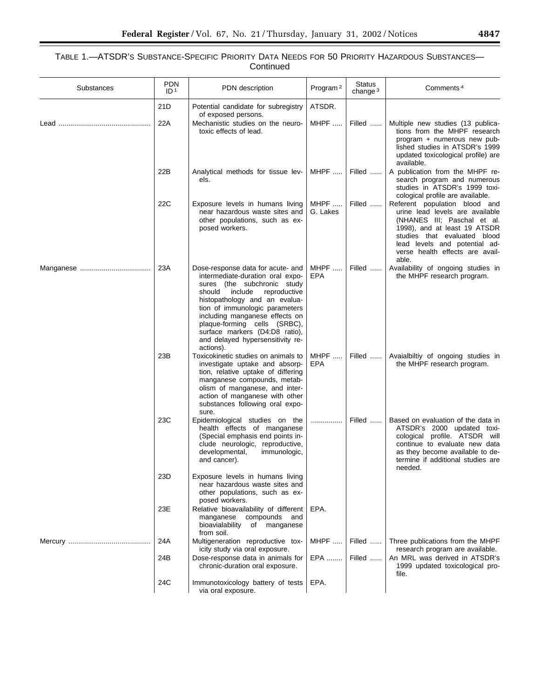| Substances | <b>PDN</b><br>ID <sup>1</sup> | PDN description                                                                                                                                                                                                                                                                                                                                                   | Program <sup>2</sup> | <b>Status</b><br>change $3$ | Comments <sup>4</sup>                                                                                                                                                                                                                        |
|------------|-------------------------------|-------------------------------------------------------------------------------------------------------------------------------------------------------------------------------------------------------------------------------------------------------------------------------------------------------------------------------------------------------------------|----------------------|-----------------------------|----------------------------------------------------------------------------------------------------------------------------------------------------------------------------------------------------------------------------------------------|
|            | 21D                           | Potential candidate for subregistry<br>of exposed persons.                                                                                                                                                                                                                                                                                                        | ATSDR.               |                             |                                                                                                                                                                                                                                              |
|            | 22A                           | Mechanistic studies on the neuro-<br>toxic effects of lead.                                                                                                                                                                                                                                                                                                       | MHPF                 | Filled                      | Multiple new studies (13 publica-<br>tions from the MHPF research<br>program + numerous new pub-<br>lished studies in ATSDR's 1999<br>updated toxicological profile) are<br>available.                                                       |
|            | 22B                           | Analytical methods for tissue lev-<br>els.                                                                                                                                                                                                                                                                                                                        | MHPF                 | Filled                      | A publication from the MHPF re-<br>search program and numerous<br>studies in ATSDR's 1999 toxi-<br>cological profile are available.                                                                                                          |
|            | 22C                           | Exposure levels in humans living<br>near hazardous waste sites and<br>other populations, such as ex-<br>posed workers.                                                                                                                                                                                                                                            | MHPF<br>G. Lakes     | Filled                      | Referent population blood and<br>urine lead levels are available<br>(NHANES III; Paschal et al.<br>1998), and at least 19 ATSDR<br>studies that evaluated blood<br>lead levels and potential ad-<br>verse health effects are avail-<br>able. |
|            | 23A                           | Dose-response data for acute- and<br>intermediate-duration oral expo-<br>sures (the subchronic study<br>should<br>include<br>reproductive<br>histopathology and an evalua-<br>tion of immunologic parameters<br>including manganese effects on<br>plaque-forming cells (SRBC),<br>surface markers (D4:D8 ratio),<br>and delayed hypersensitivity re-<br>actions). | $MHPF$<br>EPA        | Filled                      | Availability of ongoing studies in<br>the MHPF research program.                                                                                                                                                                             |
|            | 23B                           | Toxicokinetic studies on animals to<br>investigate uptake and absorp-<br>tion, relative uptake of differing<br>manganese compounds, metab-<br>olism of manganese, and inter-<br>action of manganese with other<br>substances following oral expo-<br>sure.                                                                                                        | MHPF<br><b>EPA</b>   | Filled                      | Avaialbiltiy of ongoing studies in<br>the MHPF research program.                                                                                                                                                                             |
|            | 23C                           | Epidemiological studies on the<br>health effects of manganese<br>(Special emphasis end points in-<br>clude neurologic, reproductive,<br>developmental,<br>immunologic,<br>and cancer).                                                                                                                                                                            |                      | Filled                      | Based on evaluation of the data in<br>ATSDR's 2000 updated toxi-<br>cological profile. ATSDR will<br>continue to evaluate new data<br>as they become available to de-<br>termine if additional studies are<br>needed.                        |
|            | 23D                           | Exposure levels in humans living<br>near hazardous waste sites and<br>other populations, such as ex-<br>posed workers.                                                                                                                                                                                                                                            |                      |                             |                                                                                                                                                                                                                                              |
|            | 23E                           | Relative bioavailability of different<br>compounds and<br>manganese<br>bioavialability<br>of manganese<br>from soil.                                                                                                                                                                                                                                              | EPA.                 |                             |                                                                                                                                                                                                                                              |
|            | 24A                           | Multigeneration reproductive tox-<br>icity study via oral exposure.                                                                                                                                                                                                                                                                                               | MHPF                 | Filled                      | Three publications from the MHPF<br>research program are available.                                                                                                                                                                          |
|            | 24B                           | Dose-response data in animals for<br>chronic-duration oral exposure.                                                                                                                                                                                                                                                                                              | EPA                  | Filled                      | An MRL was derived in ATSDR's<br>1999 updated toxicological pro-<br>file.                                                                                                                                                                    |
|            | 24C                           | Immunotoxicology battery of tests<br>via oral exposure.                                                                                                                                                                                                                                                                                                           | EPA.                 |                             |                                                                                                                                                                                                                                              |

▀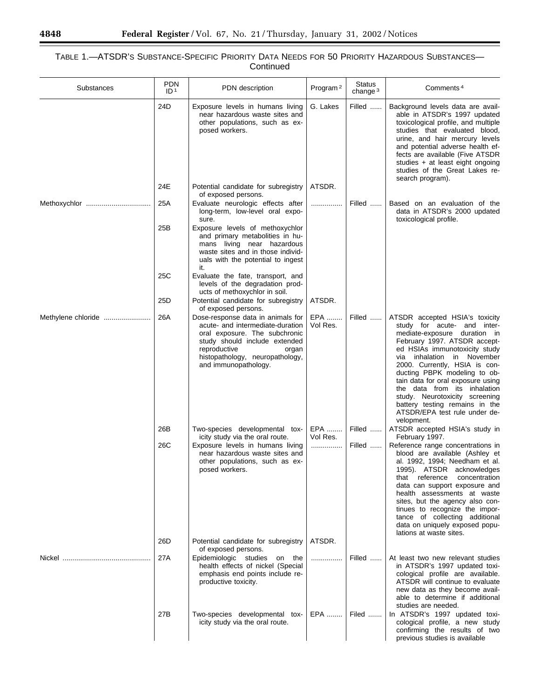## TABLE 1.—ATSDR'S SUBSTANCE-SPECIFIC PRIORITY DATA NEEDS FOR 50 PRIORITY HAZARDOUS SUBSTANCES— Continued

| Substances         | <b>PDN</b><br>ID <sup>1</sup> | PDN description                                                                                                                                                                                                             | Program <sup>2</sup> | <b>Status</b><br>change $3$ | Comments <sup>4</sup>                                                                                                                                                                                                                                                                                                                                                                                                                                    |
|--------------------|-------------------------------|-----------------------------------------------------------------------------------------------------------------------------------------------------------------------------------------------------------------------------|----------------------|-----------------------------|----------------------------------------------------------------------------------------------------------------------------------------------------------------------------------------------------------------------------------------------------------------------------------------------------------------------------------------------------------------------------------------------------------------------------------------------------------|
|                    | 24D                           | Exposure levels in humans living<br>near hazardous waste sites and<br>other populations, such as ex-<br>posed workers.                                                                                                      | G. Lakes             | Filled                      | Background levels data are avail-<br>able in ATSDR's 1997 updated<br>toxicological profile, and multiple<br>studies that evaluated blood,<br>urine, and hair mercury levels<br>and potential adverse health ef-<br>fects are available (Five ATSDR<br>studies + at least eight ongoing<br>studies of the Great Lakes re-<br>search program).                                                                                                             |
|                    | 24E                           | Potential candidate for subregistry<br>of exposed persons.                                                                                                                                                                  | ATSDR.               |                             |                                                                                                                                                                                                                                                                                                                                                                                                                                                          |
|                    | 25A                           | Evaluate neurologic effects after<br>long-term, low-level oral expo-<br>sure.                                                                                                                                               | .                    | Filled                      | Based on an evaluation of the<br>data in ATSDR's 2000 updated<br>toxicological profile.                                                                                                                                                                                                                                                                                                                                                                  |
|                    | 25B                           | Exposure levels of methoxychlor<br>and primary metabolities in hu-<br>mans living near hazardous<br>waste sites and in those individ-<br>uals with the potential to ingest<br>it.                                           |                      |                             |                                                                                                                                                                                                                                                                                                                                                                                                                                                          |
|                    | 25C<br>25D                    | Evaluate the fate, transport, and<br>levels of the degradation prod-<br>ucts of methoxychlor in soil.                                                                                                                       | ATSDR.               |                             |                                                                                                                                                                                                                                                                                                                                                                                                                                                          |
|                    |                               | Potential candidate for subregistry<br>of exposed persons.                                                                                                                                                                  |                      |                             |                                                                                                                                                                                                                                                                                                                                                                                                                                                          |
| Methylene chloride | 26A                           | Dose-response data in animals for<br>acute- and intermediate-duration<br>oral exposure. The subchronic<br>study should include extended<br>reproductive<br>organ<br>histopathology, neuropathology,<br>and immunopathology. | EPA<br>Vol Res.      | Filled                      | ATSDR accepted HSIA's toxicity<br>study for acute- and inter-<br>mediate-exposure duration in<br>February 1997. ATSDR accept-<br>ed HSIAs immunotoxicity study<br>inhalation in November<br>via<br>2000. Currently, HSIA is con-<br>ducting PBPK modeling to ob-<br>tain data for oral exposure using<br>the data from its inhalation<br>study. Neurotoxicity screening<br>battery testing remains in the<br>ATSDR/EPA test rule under de-<br>velopment. |
|                    | 26B                           | Two-species developmental tox-<br>icity study via the oral route.                                                                                                                                                           | EPA<br>Vol Res.      | Filled                      | ATSDR accepted HSIA's study in<br>February 1997.                                                                                                                                                                                                                                                                                                                                                                                                         |
|                    | 26C                           | Exposure levels in humans living<br>near hazardous waste sites and<br>other populations, such as ex-<br>posed workers.                                                                                                      | .                    | Filled                      | Reference range concentrations in<br>blood are available (Ashley et<br>al. 1992, 1994; Needham et al.<br>1995). ATSDR acknowledges<br>that reference concentration<br>data can support exposure and<br>health assessments at waste<br>sites, but the agency also con-<br>tinues to recognize the impor-<br>tance of collecting additional<br>data on uniquely exposed popu-<br>lations at waste sites.                                                   |
|                    | 26D                           | Potential candidate for subregistry<br>of exposed persons.                                                                                                                                                                  | ATSDR.               |                             |                                                                                                                                                                                                                                                                                                                                                                                                                                                          |
|                    | 27A                           | Epidemiologic studies on the<br>health effects of nickel (Special<br>emphasis end points include re-<br>productive toxicity.                                                                                                | .                    | Filled                      | At least two new relevant studies<br>in ATSDR's 1997 updated toxi-<br>cological profile are available.<br>ATSDR will continue to evaluate<br>new data as they become avail-<br>able to determine if additional<br>studies are needed.                                                                                                                                                                                                                    |
|                    | 27B                           | Two-species developmental tox-<br>icity study via the oral route.                                                                                                                                                           | EPA                  | Filed                       | In ATSDR's 1997 updated toxi-<br>cological profile, a new study<br>confirming the results of two<br>previous studies is available                                                                                                                                                                                                                                                                                                                        |

Ξ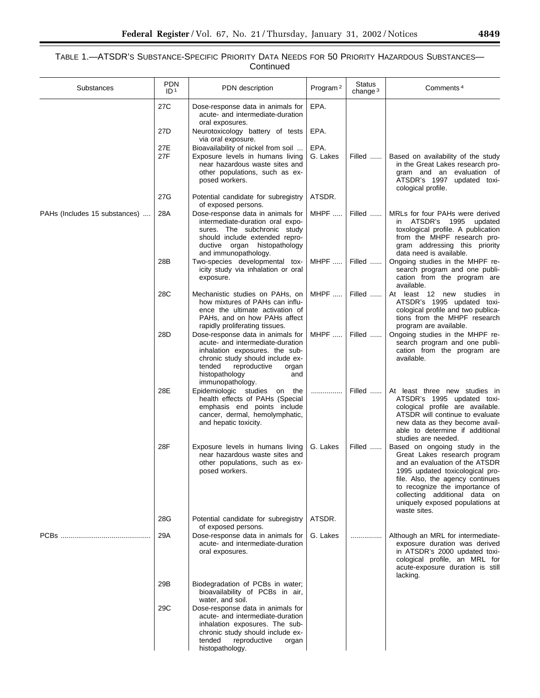| Substances                    | <b>PDN</b><br>ID <sup>1</sup> | PDN description                                                                                                                                                                                                             | Program <sup>2</sup> | Status<br>change $3$ | Comments <sup>4</sup>                                                                                                                                                                                                                                                                        |
|-------------------------------|-------------------------------|-----------------------------------------------------------------------------------------------------------------------------------------------------------------------------------------------------------------------------|----------------------|----------------------|----------------------------------------------------------------------------------------------------------------------------------------------------------------------------------------------------------------------------------------------------------------------------------------------|
|                               | 27C                           | Dose-response data in animals for<br>acute- and intermediate-duration<br>oral exposures.                                                                                                                                    | EPA.                 |                      |                                                                                                                                                                                                                                                                                              |
|                               | 27 <sub>D</sub>               | Neurotoxicology battery of tests<br>via oral exposure.                                                                                                                                                                      | EPA.                 |                      |                                                                                                                                                                                                                                                                                              |
|                               | 27E<br>27F                    | Bioavailability of nickel from soil<br>Exposure levels in humans living<br>near hazardous waste sites and<br>other populations, such as ex-<br>posed workers.                                                               | EPA.<br>G. Lakes     | Filled               | Based on availability of the study<br>in the Great Lakes research pro-<br>gram and an evaluation of<br>ATSDR's 1997 updated toxi-<br>cological profile.                                                                                                                                      |
|                               | 27G                           | Potential candidate for subregistry<br>of exposed persons.                                                                                                                                                                  | ATSDR.               |                      |                                                                                                                                                                                                                                                                                              |
| PAHs (Includes 15 substances) | 28A                           | Dose-response data in animals for<br>intermediate-duration oral expo-<br>sures. The subchronic study<br>should include extended repro-<br>ductive organ histopathology<br>and immunopathology.                              | MHPF                 | Filled               | MRLs for four PAHs were derived<br>in ATSDR's 1995<br>updated<br>toxological profile. A publication<br>from the MHPF research pro-<br>gram addressing this priority<br>data need is available.                                                                                               |
|                               | 28B                           | Two-species developmental tox-<br>icity study via inhalation or oral<br>exposure.                                                                                                                                           | MHPF                 | Filled               | Ongoing studies in the MHPF re-<br>search program and one publi-<br>cation from the program are<br>available.                                                                                                                                                                                |
|                               | 28C                           | Mechanistic studies on PAHs, on<br>how mixtures of PAHs can influ-<br>ence the ultimate activation of<br>PAHs, and on how PAHs affect<br>rapidly proliferating tissues.                                                     | MHPF                 | Filled               | At least 12 new studies in<br>ATSDR's 1995 updated toxi-<br>cological profile and two publica-<br>tions from the MHPF research<br>program are available.                                                                                                                                     |
|                               | 28D                           | Dose-response data in animals for<br>acute- and intermediate-duration<br>inhalation exposures. the sub-<br>chronic study should include ex-<br>tended<br>reproductive<br>organ<br>histopathology<br>and<br>immunopathology. | MHPF                 | Filled               | Ongoing studies in the MHPF re-<br>search program and one publi-<br>cation from the program are<br>available.                                                                                                                                                                                |
|                               | 28E                           | Epidemiologic studies on the<br>health effects of PAHs (Special<br>emphasis end points include<br>cancer, dermal, hemolymphatic,<br>and hepatic toxicity.                                                                   | .                    | Filled               | At least three new studies in<br>ATSDR's 1995 updated toxi-<br>cological profile are available.<br>ATSDR will continue to evaluate<br>new data as they become avail-<br>able to determine if additional<br>studies are needed.                                                               |
|                               | 28F                           | Exposure levels in humans living<br>near hazardous waste sites and<br>other populations, such as ex-<br>posed workers.                                                                                                      | G. Lakes             | Filled               | Based on ongoing study in the<br>Great Lakes research program<br>and an evaluation of the ATSDR<br>1995 updated toxicological pro-<br>file. Also, the agency continues<br>to recognize the importance of<br>collecting additional data on<br>uniquely exposed populations at<br>waste sites. |
|                               | 28G                           | Potential candidate for subregistry<br>of exposed persons.                                                                                                                                                                  | ATSDR.               |                      |                                                                                                                                                                                                                                                                                              |
|                               | 29A                           | Dose-response data in animals for<br>acute- and intermediate-duration<br>oral exposures.                                                                                                                                    | G. Lakes             |                      | Although an MRL for intermediate-<br>exposure duration was derived<br>in ATSDR's 2000 updated toxi-<br>cological profile, an MRL for<br>acute-exposure duration is still<br>lacking.                                                                                                         |
|                               | 29B                           | Biodegradation of PCBs in water;<br>bioavailability of PCBs in air,<br>water, and soil.                                                                                                                                     |                      |                      |                                                                                                                                                                                                                                                                                              |
|                               | 29C                           | Dose-response data in animals for<br>acute- and intermediate-duration<br>inhalation exposures. The sub-<br>chronic study should include ex-<br>reproductive<br>tended<br>organ<br>histopathology.                           |                      |                      |                                                                                                                                                                                                                                                                                              |

 $\equiv$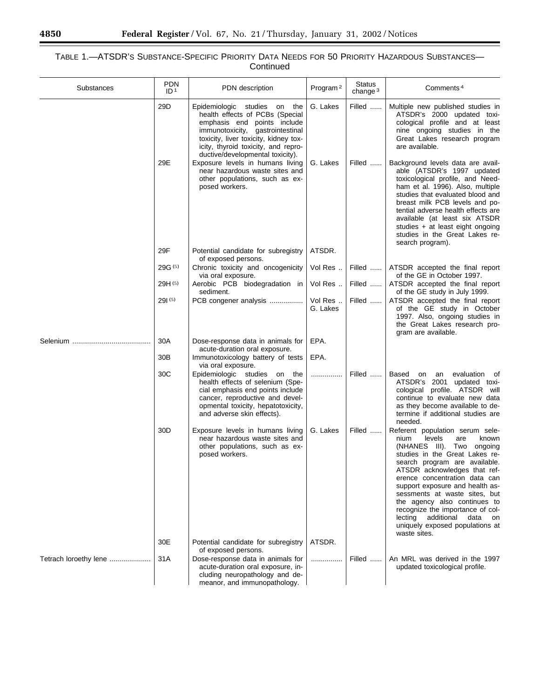## TABLE 1.—ATSDR'S SUBSTANCE-SPECIFIC PRIORITY DATA NEEDS FOR 50 PRIORITY HAZARDOUS SUBSTANCES— Continued

| Substances            | <b>PDN</b><br>ID <sup>1</sup> | PDN description                                                                                                                                                                                                                                        | Program <sup>2</sup> | <b>Status</b><br>change $3$ | Comments <sup>4</sup>                                                                                                                                                                                                                                                                                                                                                                                                                                             |
|-----------------------|-------------------------------|--------------------------------------------------------------------------------------------------------------------------------------------------------------------------------------------------------------------------------------------------------|----------------------|-----------------------------|-------------------------------------------------------------------------------------------------------------------------------------------------------------------------------------------------------------------------------------------------------------------------------------------------------------------------------------------------------------------------------------------------------------------------------------------------------------------|
|                       | 29D                           | Epidemiologic studies on the<br>health effects of PCBs (Special<br>emphasis end points include<br>immunotoxicity, gastrointestinal<br>toxicity, liver toxicity, kidney tox-<br>icity, thyroid toxicity, and repro-<br>ductive/developmental toxicity). | G. Lakes             | Filled                      | Multiple new published studies in<br>ATSDR's 2000 updated toxi-<br>cological profile and at least<br>nine ongoing studies in the<br>Great Lakes research program<br>are available.                                                                                                                                                                                                                                                                                |
|                       | 29E                           | Exposure levels in humans living<br>near hazardous waste sites and<br>other populations, such as ex-<br>posed workers.                                                                                                                                 | G. Lakes             | Filled                      | Background levels data are avail-<br>able (ATSDR's 1997 updated<br>toxicological profile, and Need-<br>ham et al. 1996). Also, multiple<br>studies that evaluated blood and<br>breast milk PCB levels and po-<br>tential adverse health effects are<br>available (at least six ATSDR<br>studies + at least eight ongoing<br>studies in the Great Lakes re-<br>search program).                                                                                    |
|                       | 29F                           | Potential candidate for subregistry<br>of exposed persons.                                                                                                                                                                                             | ATSDR.               |                             |                                                                                                                                                                                                                                                                                                                                                                                                                                                                   |
|                       | 29G(5)                        | Chronic toxicity and oncogenicity<br>via oral exposure.                                                                                                                                                                                                | Vol Res              | Filled                      | ATSDR accepted the final report<br>of the GE in October 1997.                                                                                                                                                                                                                                                                                                                                                                                                     |
|                       | 29H(5)                        | Aerobic PCB biodegradation in<br>sediment.                                                                                                                                                                                                             | Vol Res              | Filled                      | ATSDR accepted the final report<br>of the GE study in July 1999.                                                                                                                                                                                                                                                                                                                                                                                                  |
|                       | 29(5)                         | PCB congener analysis                                                                                                                                                                                                                                  | Vol Res<br>G. Lakes  | Filled                      | ATSDR accepted the final report<br>of the GE study in October<br>1997. Also, ongoing studies in<br>the Great Lakes research pro-<br>gram are available.                                                                                                                                                                                                                                                                                                           |
|                       | 30A                           | Dose-response data in animals for<br>acute-duration oral exposure.                                                                                                                                                                                     | EPA.                 |                             |                                                                                                                                                                                                                                                                                                                                                                                                                                                                   |
|                       | 30 <sub>B</sub>               | Immunotoxicology battery of tests<br>via oral exposure.                                                                                                                                                                                                | EPA.                 |                             |                                                                                                                                                                                                                                                                                                                                                                                                                                                                   |
|                       | 30C                           | Epidemiologic studies on<br>the<br>health effects of selenium (Spe-<br>cial emphasis end points include<br>cancer, reproductive and devel-<br>opmental toxicity, hepatotoxicity,<br>and adverse skin effects).                                         | .                    | Filled                      | evaluation of<br>Based<br>on<br>an<br>ATSDR's 2001 updated toxi-<br>cological profile. ATSDR will<br>continue to evaluate new data<br>as they become available to de-<br>termine if additional studies are<br>needed.                                                                                                                                                                                                                                             |
|                       | 30 <sub>D</sub>               | Exposure levels in humans living<br>near hazardous waste sites and<br>other populations, such as ex-<br>posed workers.                                                                                                                                 | G. Lakes             | Filled                      | Referent population serum sele-<br>levels<br>nium<br>are<br>known<br>(NHANES III). Two ongoing<br>studies in the Great Lakes re-<br>search program are available.<br>ATSDR acknowledges that ref-<br>erence concentration data can<br>support exposure and health as-<br>sessments at waste sites, but<br>the agency also continues to<br>recognize the importance of col-<br>lecting additional<br>data<br>on<br>uniquely exposed populations at<br>waste sites. |
|                       | 30E                           | Potential candidate for subregistry<br>of exposed persons.                                                                                                                                                                                             | ATSDR.               |                             |                                                                                                                                                                                                                                                                                                                                                                                                                                                                   |
| Tetrach loroethy lene | 31A                           | Dose-response data in animals for<br>acute-duration oral exposure, in-<br>cluding neuropathology and de-<br>meanor, and immunopathology.                                                                                                               | .                    | Filled                      | An MRL was derived in the 1997<br>updated toxicological profile.                                                                                                                                                                                                                                                                                                                                                                                                  |

-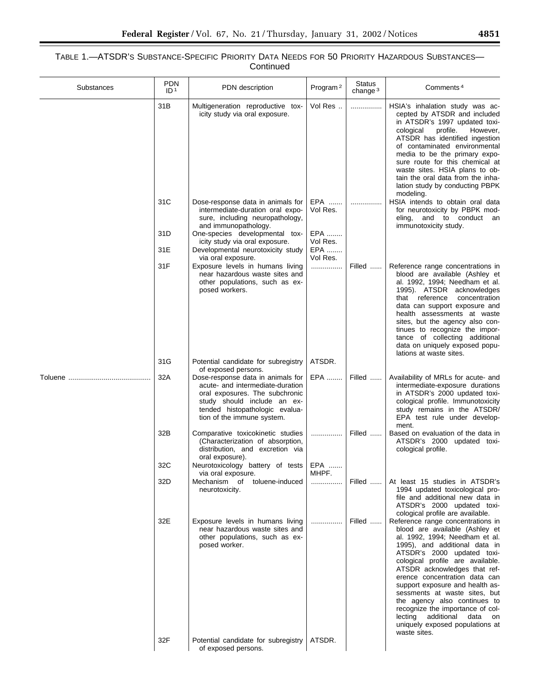| Substances | PDN<br>ID <sup>1</sup> | PDN description                                                                                                                                                                                        | Program <sup>2</sup>   | <b>Status</b><br>change <sup>3</sup> | Comments <sup>4</sup>                                                                                                                                                                                                                                                                                                                                                                                                                                                                                       |
|------------|------------------------|--------------------------------------------------------------------------------------------------------------------------------------------------------------------------------------------------------|------------------------|--------------------------------------|-------------------------------------------------------------------------------------------------------------------------------------------------------------------------------------------------------------------------------------------------------------------------------------------------------------------------------------------------------------------------------------------------------------------------------------------------------------------------------------------------------------|
|            | 31B                    | Multigeneration reproductive tox-<br>icity study via oral exposure.                                                                                                                                    | Vol Res                | .                                    | HSIA's inhalation study was ac-<br>cepted by ATSDR and included<br>in ATSDR's 1997 updated toxi-<br>profile.<br>cological<br>However,<br>ATSDR has identified ingestion<br>of contaminated environmental<br>media to be the primary expo-<br>sure route for this chemical at<br>waste sites. HSIA plans to ob-<br>tain the oral data from the inha-<br>lation study by conducting PBPK<br>modeling.                                                                                                         |
|            | 31C                    | Dose-response data in animals for<br>intermediate-duration oral expo-<br>sure, including neuropathology,<br>and immunopathology.                                                                       | EPA<br>Vol Res.        |                                      | HSIA intends to obtain oral data<br>for neurotoxicity by PBPK mod-<br>eling, and to conduct an<br>immunotoxicity study.                                                                                                                                                                                                                                                                                                                                                                                     |
|            | 31D<br>31E             | One-species developmental tox-<br>icity study via oral exposure.<br>Developmental neurotoxicity study                                                                                                  | EPA<br>Vol Res.<br>EPA |                                      |                                                                                                                                                                                                                                                                                                                                                                                                                                                                                                             |
|            | 31F                    | via oral exposure.<br>Exposure levels in humans living<br>near hazardous waste sites and<br>other populations, such as ex-<br>posed workers.                                                           | Vol Res.<br>.          | Filled                               | Reference range concentrations in<br>blood are available (Ashley et<br>al. 1992, 1994; Needham et al.<br>1995). ATSDR acknowledges<br>that<br>reference<br>concentration<br>data can support exposure and<br>health assessments at waste<br>sites, but the agency also con-<br>tinues to recognize the impor-<br>tance of collecting additional<br>data on uniquely exposed popu-<br>lations at waste sites.                                                                                                |
|            | 31G                    | Potential candidate for subregistry<br>of exposed persons.                                                                                                                                             | ATSDR.                 |                                      |                                                                                                                                                                                                                                                                                                                                                                                                                                                                                                             |
|            | 32A                    | Dose-response data in animals for<br>acute- and intermediate-duration<br>oral exposures. The subchronic<br>study should include an ex-<br>tended histopathologic evalua-<br>tion of the immune system. | EPA                    | Filled                               | Availability of MRLs for acute- and<br>intermediate-exposure durations<br>in ATSDR's 2000 updated toxi-<br>cological profile. Immunotoxicity<br>study remains in the ATSDR/<br>EPA test rule under develop-<br>ment.                                                                                                                                                                                                                                                                                        |
|            | 32B<br>32C             | Comparative toxicokinetic studies<br>(Characterization of absorption,<br>distribution, and excretion via<br>oral exposure).<br>Neurotoxicology battery of tests                                        | .<br>EPA               | Filled                               | Based on evaluation of the data in<br>ATSDR's 2000 updated toxi-<br>cological profile.                                                                                                                                                                                                                                                                                                                                                                                                                      |
|            |                        | via oral exposure.                                                                                                                                                                                     | MHPF.                  |                                      |                                                                                                                                                                                                                                                                                                                                                                                                                                                                                                             |
|            | 32D                    | Mechanism of toluene-induced<br>neurotoxicity.                                                                                                                                                         | .                      | Filled                               | At least 15 studies in ATSDR's<br>1994 updated toxicological pro-<br>file and additional new data in<br>ATSDR's 2000 updated toxi-<br>cological profile are available.                                                                                                                                                                                                                                                                                                                                      |
|            | 32E                    | Exposure levels in humans living<br>near hazardous waste sites and<br>other populations, such as ex-<br>posed worker.                                                                                  | .                      | Filled                               | Reference range concentrations in<br>blood are available (Ashley et<br>al. 1992, 1994; Needham et al.<br>1995), and additional data in<br>ATSDR's 2000 updated toxi-<br>cological profile are available.<br>ATSDR acknowledges that ref-<br>erence concentration data can<br>support exposure and health as-<br>sessments at waste sites, but<br>the agency also continues to<br>recognize the importance of col-<br>lecting<br>additional<br>data<br>on<br>uniquely exposed populations at<br>waste sites. |
|            | 32F                    | Potential candidate for subregistry<br>of exposed persons.                                                                                                                                             | ATSDR.                 |                                      |                                                                                                                                                                                                                                                                                                                                                                                                                                                                                                             |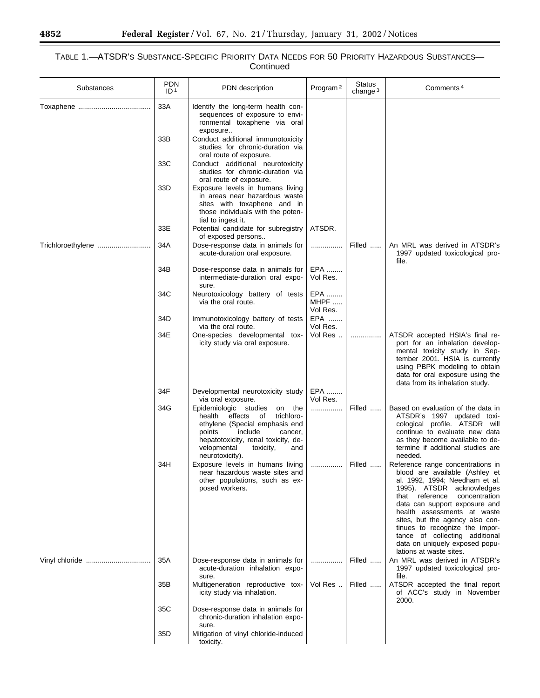## TABLE 1.—ATSDR'S SUBSTANCE-SPECIFIC PRIORITY DATA NEEDS FOR 50 PRIORITY HAZARDOUS SUBSTANCES— Continued

| Substances        | <b>PDN</b><br>ID <sup>1</sup> | PDN description                                                                                                                                                                                                                                               | Program <sup>2</sup>    | <b>Status</b><br>change $3$ | Comments <sup>4</sup>                                                                                                                                                                                                                                                                                                                                                                                     |
|-------------------|-------------------------------|---------------------------------------------------------------------------------------------------------------------------------------------------------------------------------------------------------------------------------------------------------------|-------------------------|-----------------------------|-----------------------------------------------------------------------------------------------------------------------------------------------------------------------------------------------------------------------------------------------------------------------------------------------------------------------------------------------------------------------------------------------------------|
|                   | 33A                           | Identify the long-term health con-<br>sequences of exposure to envi-<br>ronmental toxaphene via oral                                                                                                                                                          |                         |                             |                                                                                                                                                                                                                                                                                                                                                                                                           |
|                   | 33B                           | exposure<br>Conduct additional immunotoxicity<br>studies for chronic-duration via                                                                                                                                                                             |                         |                             |                                                                                                                                                                                                                                                                                                                                                                                                           |
|                   | 33C                           | oral route of exposure.<br>Conduct additional neurotoxicity<br>studies for chronic-duration via<br>oral route of exposure.                                                                                                                                    |                         |                             |                                                                                                                                                                                                                                                                                                                                                                                                           |
|                   | 33D                           | Exposure levels in humans living<br>in areas near hazardous waste<br>sites with toxaphene and in<br>those individuals with the poten-<br>tial to ingest it.                                                                                                   |                         |                             |                                                                                                                                                                                                                                                                                                                                                                                                           |
|                   | 33E                           | Potential candidate for subregistry                                                                                                                                                                                                                           | ATSDR.                  |                             |                                                                                                                                                                                                                                                                                                                                                                                                           |
| Trichloroethylene | 34A                           | of exposed persons<br>Dose-response data in animals for<br>acute-duration oral exposure.                                                                                                                                                                      | .                       | Filled                      | An MRL was derived in ATSDR's<br>1997 updated toxicological pro-<br>file.                                                                                                                                                                                                                                                                                                                                 |
|                   | 34B                           | Dose-response data in animals for<br>intermediate-duration oral expo-<br>sure.                                                                                                                                                                                | EPA<br>Vol Res.         |                             |                                                                                                                                                                                                                                                                                                                                                                                                           |
|                   | 34C                           | Neurotoxicology battery of tests<br>via the oral route.                                                                                                                                                                                                       | EPA<br>MHPF<br>Vol Res. |                             |                                                                                                                                                                                                                                                                                                                                                                                                           |
|                   | 34D                           | Immunotoxicology battery of tests<br>via the oral route.                                                                                                                                                                                                      | EPA<br>Vol Res.         |                             |                                                                                                                                                                                                                                                                                                                                                                                                           |
|                   | 34E                           | One-species developmental tox-<br>icity study via oral exposure.                                                                                                                                                                                              | Vol Res                 | .                           | ATSDR accepted HSIA's final re-<br>port for an inhalation develop-<br>mental toxicity study in Sep-<br>tember 2001. HSIA is currently<br>using PBPK modeling to obtain<br>data for oral exposure using the<br>data from its inhalation study.                                                                                                                                                             |
|                   | 34F                           | Developmental neurotoxicity study                                                                                                                                                                                                                             | EPA                     |                             |                                                                                                                                                                                                                                                                                                                                                                                                           |
|                   | 34G                           | via oral exposure.<br>Epidemiologic studies<br>on the<br>health<br>effects<br>trichloro-<br>оf<br>ethylene (Special emphasis end<br>include<br>points<br>cancer.<br>hepatotoxicity, renal toxicity, de-<br>velopmental<br>toxicity,<br>and<br>neurotoxicity). | Vol Res.<br>.           | Filled                      | Based on evaluation of the data in<br>ATSDR's 1997 updated toxi-<br>cological profile. ATSDR will<br>continue to evaluate new data<br>as they become available to de-<br>termine if additional studies are<br>needed.                                                                                                                                                                                     |
|                   | 34H                           | Exposure levels in humans living<br>near hazardous waste sites and<br>other populations, such as ex-<br>posed workers.                                                                                                                                        |                         | Filled                      | Reference range concentrations in<br>blood are available (Ashley et<br>al. 1992, 1994; Needham et al.<br>1995). ATSDR acknowledges<br>that reference<br>concentration<br>data can support exposure and<br>health assessments at waste<br>sites, but the agency also con-<br>tinues to recognize the impor-<br>tance of collecting additional<br>data on uniquely exposed popu-<br>lations at waste sites. |
|                   | 35A                           | Dose-response data in animals for<br>acute-duration inhalation expo-<br>sure.                                                                                                                                                                                 |                         | Filled                      | An MRL was derived in ATSDR's<br>1997 updated toxicological pro-<br>file.                                                                                                                                                                                                                                                                                                                                 |
|                   | 35B                           | Multigeneration reproductive tox-<br>icity study via inhalation.                                                                                                                                                                                              | Vol Res                 | Filled                      | ATSDR accepted the final report<br>of ACC's study in November<br>2000.                                                                                                                                                                                                                                                                                                                                    |
|                   | 35C                           | Dose-response data in animals for<br>chronic-duration inhalation expo-<br>sure.                                                                                                                                                                               |                         |                             |                                                                                                                                                                                                                                                                                                                                                                                                           |
|                   | 35D                           | Mitigation of vinyl chloride-induced<br>toxicity.                                                                                                                                                                                                             |                         |                             |                                                                                                                                                                                                                                                                                                                                                                                                           |

Ξ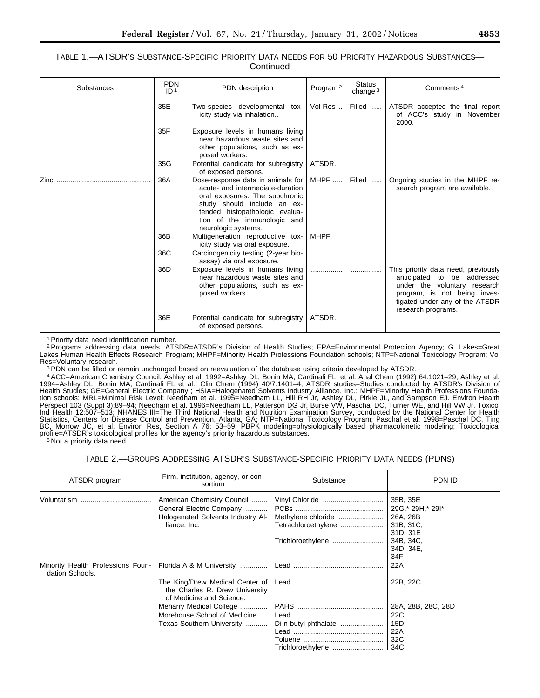| Substances | <b>PDN</b><br>ID <sup>1</sup> | PDN description                                                                                                                                                                                                                | Program <sup>2</sup> | <b>Status</b><br>change <sup>3</sup> | Comments <sup>4</sup>                                                                                                                                                                      |
|------------|-------------------------------|--------------------------------------------------------------------------------------------------------------------------------------------------------------------------------------------------------------------------------|----------------------|--------------------------------------|--------------------------------------------------------------------------------------------------------------------------------------------------------------------------------------------|
|            | 35E                           | Two-species developmental tox-<br>icity study via inhalation                                                                                                                                                                   | Vol Res              | Filled                               | ATSDR accepted the final report<br>of ACC's study in November<br>2000.                                                                                                                     |
|            | 35F                           | Exposure levels in humans living<br>near hazardous waste sites and<br>other populations, such as ex-<br>posed workers.                                                                                                         |                      |                                      |                                                                                                                                                                                            |
|            | 35G                           | Potential candidate for subregistry<br>of exposed persons.                                                                                                                                                                     | ATSDR.               |                                      |                                                                                                                                                                                            |
| Zinc       | 36A                           | Dose-response data in animals for<br>acute- and intermediate-duration<br>oral exposures. The subchronic<br>study should include an ex-<br>tended histopathologic evalua-<br>tion of the immunologic and<br>neurologic systems. | MHPF                 | Filled                               | Ongoing studies in the MHPF re-<br>search program are available.                                                                                                                           |
|            | 36B                           | Multigeneration reproductive tox-<br>icity study via oral exposure.                                                                                                                                                            | MHPF.                |                                      |                                                                                                                                                                                            |
|            | 36C                           | Carcinogenicity testing (2-year bio-<br>assay) via oral exposure.                                                                                                                                                              |                      |                                      |                                                                                                                                                                                            |
|            | 36D                           | Exposure levels in humans living<br>near hazardous waste sites and<br>other populations, such as ex-<br>posed workers.                                                                                                         | .                    |                                      | This priority data need, previously<br>anticipated to be addressed<br>under the voluntary research<br>program, is not being inves-<br>tigated under any of the ATSDR<br>research programs. |
|            | 36E                           | Potential candidate for subregistry<br>of exposed persons.                                                                                                                                                                     | ATSDR.               |                                      |                                                                                                                                                                                            |

<sup>1</sup> Priority data need identification number.

2Programs addressing data needs. ATSDR=ATSDR's Division of Health Studies; EPA=Environmental Protection Agency; G. Lakes=Great Lakes Human Health Effects Research Program; MHPF=Minority Health Professions Foundation schools; NTP=National Toxicology Program; Vol Res=Voluntary research.

<sup>3</sup> PDN can be filled or remain unchanged based on reevaluation of the database using criteria developed by ATSDR.

4ACC=American Chemistry Council; Ashley et al. 1992=Ashley DL, Bonin MA, Cardinali FL, et al. Anal Chem (1992) 64:1021–29; Ashley et al. 1994=Ashley DL, Bonin MA, Cardinali FL et al., Clin Chem (1994) 40/7:1401–4; ATSDR studies=Studies conducted by ATSDR's Division of Health Studies; GE=General Electric Company ; HSIA=Halogenated Solvents Industry Alliance, Inc.; MHPF=Minority Health Professions Foundation schools; MRL=Minimal Risk Level; Needham et al. 1995=Needham LL, Hill RH Jr, Ashley DL, Pirkle JL, and Sampson EJ. Environ Health Perspect 103 (Suppl 3):89–94; Needham et al. 1996=Needham LL, Patterson DG Jr, Burse VW, Paschal DC, Turner WE, and Hill VW Jr. Toxicol Ind Health 12:507–513; NHANES III=The Third National Health and Nutrition Examination Survey, conducted by the National Center for Health Statistics, Centers for Disease Control and Prevention, Atlanta, GA; NTP=National Toxicology Program; Paschal et al. 1998=Paschal DC, Ting BC, Morrow JC, et al. Environ Res, Section A 76: 53–59; PBPK modeling=physiologically based pharmacokinetic modeling; Toxicological profile=ATSDR's toxicological profiles for the agency's priority hazardous substances.

5 Not a priority data need.

#### TABLE 2.—GROUPS ADDRESSING ATSDR'S SUBSTANCE-SPECIFIC PRIORITY DATA NEEDS (PDNS)

| ATSDR program                                        | Firm, institution, agency, or con-<br>sortium                                                 | Substance            | PDN ID             |
|------------------------------------------------------|-----------------------------------------------------------------------------------------------|----------------------|--------------------|
| Voluntarism<br>                                      | American Chemistry Council                                                                    | Vinyl Chloride       | 35B, 35E           |
|                                                      | General Electric Company                                                                      |                      | 29G,* 29H,* 29I*   |
|                                                      | Halogenated Solvents Industry Al-                                                             | Methylene chloride   | 26A, 26B           |
|                                                      | liance, Inc.                                                                                  | Tetrachloroethylene  | 31B, 31C,          |
|                                                      |                                                                                               |                      | 31D, 31E           |
|                                                      |                                                                                               | Trichloroethylene    | 34B, 34C,          |
|                                                      |                                                                                               |                      | 34D, 34E,          |
|                                                      |                                                                                               |                      | 34F                |
| Minority Health Professions Foun-<br>dation Schools. | Florida A & M University                                                                      |                      | 22A                |
|                                                      | The King/Drew Medical Center of<br>the Charles R. Drew University<br>of Medicine and Science. |                      | 22B, 22C           |
|                                                      | Meharry Medical College                                                                       |                      | 28A, 28B, 28C, 28D |
|                                                      | Morehouse School of Medicine                                                                  |                      | 22C                |
|                                                      | Texas Southern University                                                                     | Di-n-butyl phthalate | 15D                |
|                                                      |                                                                                               |                      | 22A                |
|                                                      |                                                                                               |                      | 32C                |
|                                                      |                                                                                               |                      |                    |